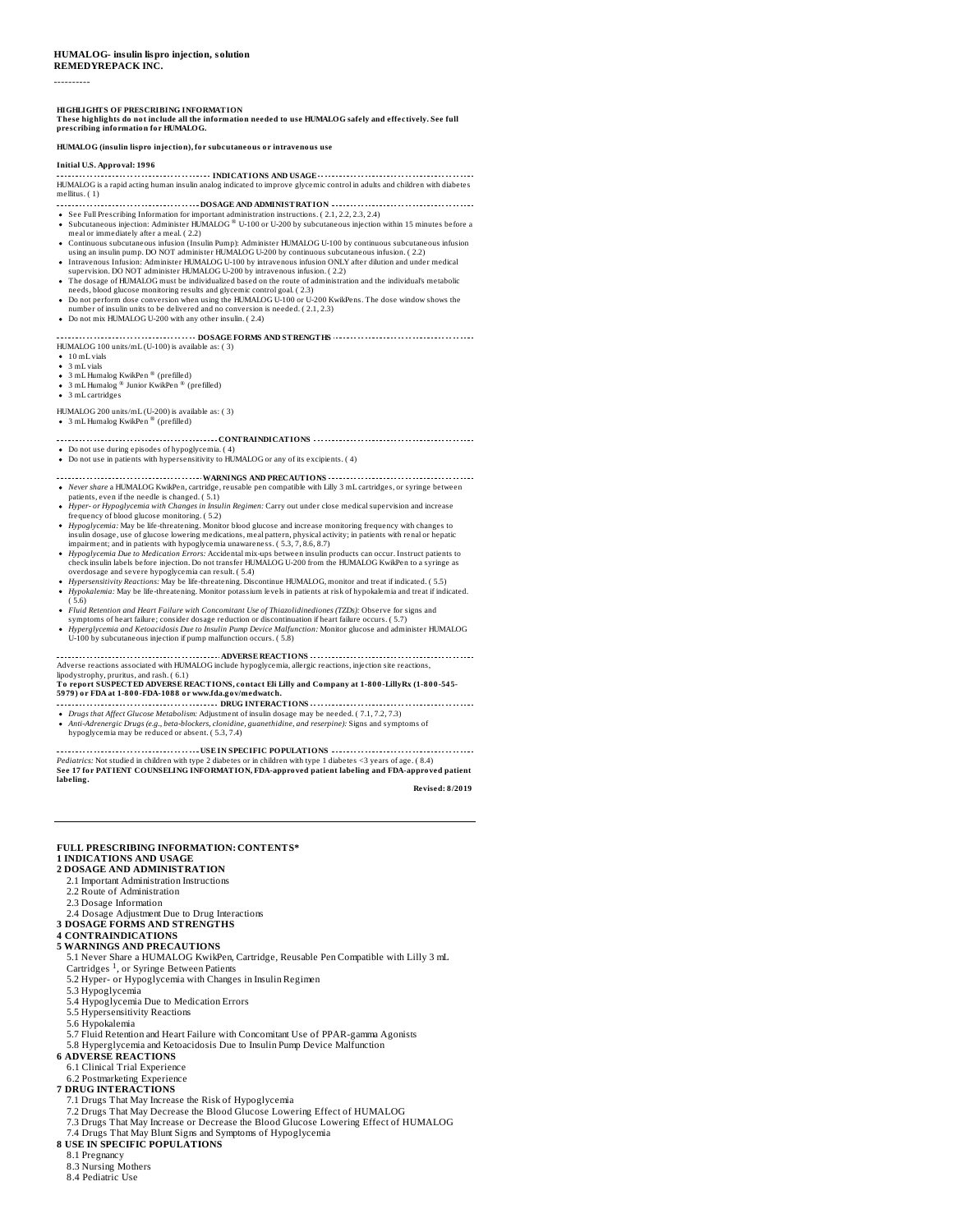#### **HUMALOG- insulin lispro injection, solution REMEDYREPACK INC.**

----------

HIGHLIGHTS OF PRESCRIBING INFORMATION<br>These highlights do not include all the information needed to use HUMALOG safely and effectively. See full<br>prescribing information for HUMALOG.

#### **HUMALOG (insulin lispro injection), for subcutaneous or intravenous use**

#### **Initial U.S. Approval: 1996**

**INDICATIONS AND USAGE** HUMALOG is a rapid acting human insulin analog indicated to improve glycemic control in adults and children with diabetes mellitus. ( 1)

- **DOSAGE AND ADMINISTRATION**
- ®
- See Full Prescribing Information for important administration instructions. ( 2.1, 2.2, 2.3, 2.4)<br>Subcutaneous injection: Administer HUMALOG ® U-100 or U-200 by subcutaneous injection within 15 minutes before a<br>meal or imm
- 
- using an insulin pump. DO NOT administer HUMALOG U-200 by continuous subcutaneous infusion. ( 2.2)<br>Intravenous Infusion: Administer HUMALOG U-100 by intravenous infusion ONLY after dilution and under medical<br>supervision. D
- needs, blood glucose monitoring results and glycemic control goal. ( 2.3)<br>Do not perform dose conversion when using the HUMALOG U-100 or U-200 KwikPens. The dose window shows the<br>number of insulin units to be delivered and
- 
- Do not mix HUMALOG U-200 with any other insulin. ( 2.4)

# **DOSAGE FORMS AND STRENGTHS** HUMALOG 100 units/mL (U-100) is available as: ( 3)

- 10 mL vials 3 mL vials
- 
- 3 mL Humalog KwikPen ® (prefilled)
- 3 mL Humalog ® Junior KwikPen ® (prefilled)<br>3 mL cartridges
- 

# HUMALOG 200 units/mL (U-200) is available as: ( 3)

3 mL Humalog KwikPen ® (prefilled)

#### **CONTRAINDICATIONS**

- Do not use during episodes of hypoglycemia. ( 4)<br>Do not use in patients with hypersensitivity to HUMALOG or any of its excipients. ( 4)
- 
- **WARNINGS AND PRECAUTIONS**
- 
- Never share a HUMALOG Kwiklen, cartridge, reusable pen compatible with Lilly 3 mL cartridges, or syringe between<br>patients, even if the needle is changed. (5.1)<br>Hyper- or Hypoglycemia with Changes in Insulin Regimen: Carry
- *Hypoglycemia Due to Medication Errors*: Accidental mix-ups between insulin products can occur. Instruct patients to<br>check insulin labels before injection. Do not transfer HUMALOG U-200 from the HUMALOG KwikPen to a syring
- Hypersensitivity Reactions: May be life-threatening. Discontinue HUMALOG, monitor and treat if indicated. ( 5.5)<br>Hypokalemia: May be life-threatening. Monitor potassium levels in patients at risk of hypokalemia and treat i
- ( 5.6) *Fluid Retention and Heart Failure with Concomitant Use of Thiazolidinediones (TZDs):* Observe for signs and
- 
- symptoms of heart failure; consider dosage reduction or discontinuation if heart failure occurs. ( 5.7)<br>Hyperglycemia and Ketoacidosis Due to Insulin Pump Device Malfunction: Monitor glucose and administer HUMALOG<br>U-100 by

## **ADVERSE REACTIONS** Adverse reactions associated with HUMALOG include hypoglycemia, allergic reactions, injection site reactions, lipodystrophy, pruritus, and rash. ( 6.1)

# To report SUSPECTED ADVERSE REACTIONS, contact Eli Lilly and Company at 1-800-LillyRx (1-800-545-<br>5979) or FDA at 1-800-FDA-1088 or www.fda.gov/medwatch.

- **DRUG INTERACTIONS** Drugs that Affect Glucose Metabolism: Adjustment of insulin dosage may be needed. ( 7.1, 7.2, 7.3)<br>Anti-Adrenergic Drugs (e.g., beta-blockers, clonidine, guanethidine, and reserpine): Signs and symptoms of
- hypoglycemia may be reduced or absent. ( 5.3, 7.4)

**USE IN SPECIFIC POPULATIONS** Pediatrics: Not studied in children with type 2 diabetes or in children with type 1 diabetes <3 years of age. ( 8.4)<br>See 17 for PATIENT COUNSELING INFORMATION, FDA-approved patient labeling and FDA-approved patient **labeling.**

**Revised: 8/2019**

# **FULL PRESCRIBING INFORMATION: CONTENTS\***

# **1 INDICATIONS AND USAGE**

- **2 DOSAGE AND ADMINISTRATION**
- 2.1 Important Administration Instructions
- 2.2 Route of Administration
- 2.3 Dosage Information
- 
- 2.4 Dosage Adjustment Due to Drug Interactions **3 DOSAGE FORMS AND STRENGTHS**

# **4 CONTRAINDICATIONS**

- **5 WARNINGS AND PRECAUTIONS**
- 5.1 Never Share a HUMALOG KwikPen, Cartridge, Reusable Pen Compatible with Lilly 3 mL 1
- Cartridges <sup>1</sup>, or Syringe Between Patients<br>5.2 Hyper- or Hypoglycemia with Changes in Insulin Regimen
- 5.3 Hypoglycemia
- 5.4 Hypoglycemia Due to Medication Errors
- 5.5 Hypersensitivity Reactions
- 5.6 Hypokalemia
- 5.7 Fluid Retention and Heart Failure with Concomitant Use of PPAR-gamma Agonists
- 5.8 Hyperglycemia and Ketoacidosis Due to Insulin Pump Device Malfunction **6 ADVERSE REACTIONS**
- 
- 6.1 Clinical Trial Experience
- 6.2 Postmarketing Experience **7 DRUG INTERACTIONS**
	- 7.1 Drugs That May Increase the Risk of Hypoglycemia
- 
- 7.2 Drugs That May Decrease the Blood Glucose Lowering Effect of HUMALOG 7.3 Drugs That May Increase or Decrease the Blood Glucose Lowering Effect of HUMALOG
- 7.4 Drugs That May Blunt Signs and Symptoms of Hypoglycemia
- **8 USE IN SPECIFIC POPULATIONS**
- 8.1 Pregnancy
- 8.3 Nursing Mothers
- 8.4 Pediatric Use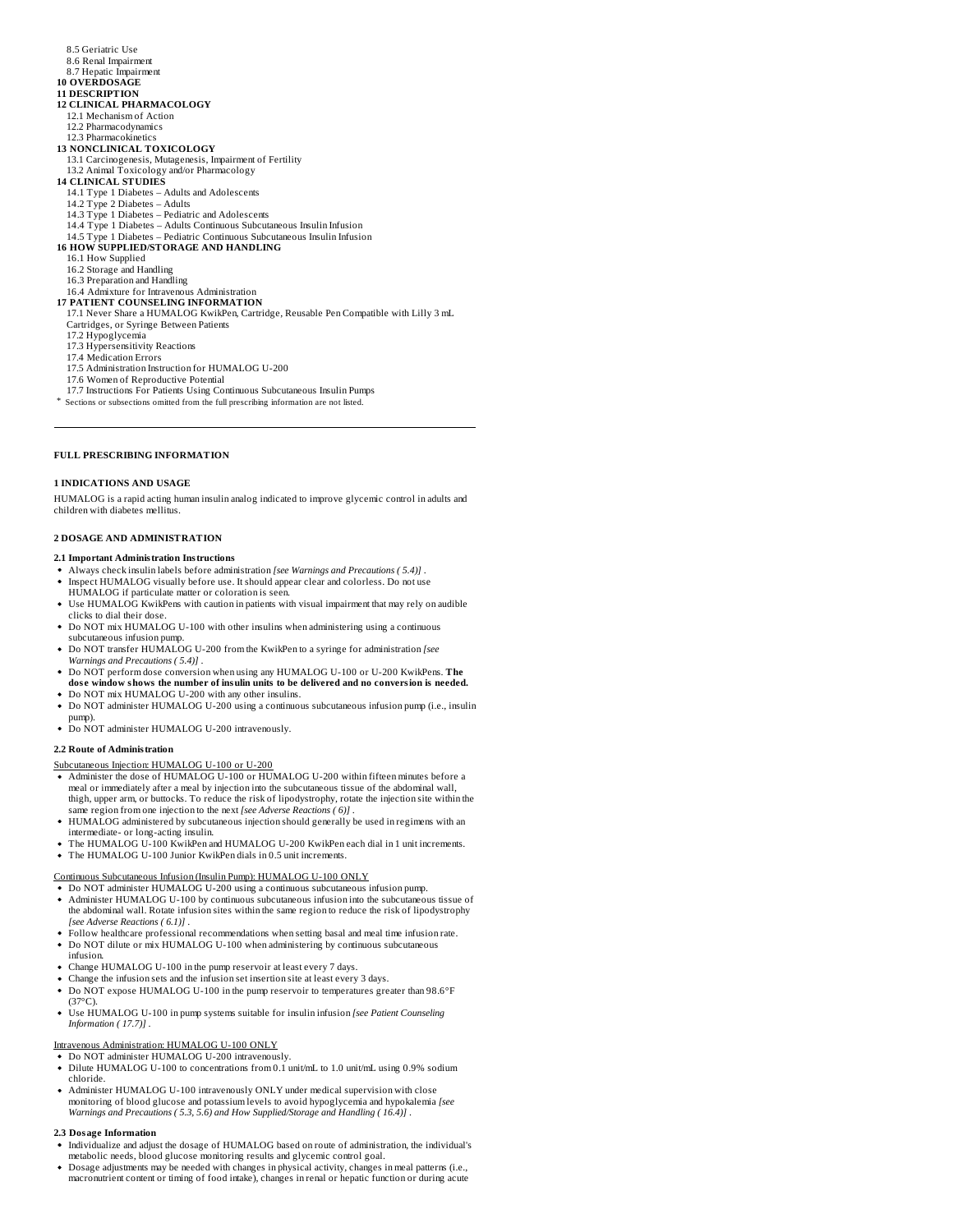- 8.5 Geriatric Use
- 8.6 Renal Impairment
- 8.7 Hepatic Impairment

#### **10 OVERDOSAGE 11 DESCRIPTION**

- **12 CLINICAL PHARMACOLOGY**
- 12.1 Mechanism of Action
- 12.2 Pharmacodynamics
- 12.3 Pharmacokinetics **13 NONCLINICAL TOXICOLOGY**
- 13.1 Carcinogenesis, Mutagenesis, Impairment of Fertility
- 13.2 Animal Toxicology and/or Pharmacology
- **14 CLINICAL STUDIES**
- 14.1 Type 1 Diabetes Adults and Adolescents 14.2 Type 2 Diabetes Adults
- 
- 14.3 Type 1 Diabetes Pediatric and Adolescents 14.4 Type 1 Diabetes – Adults Continuous Subcutaneous Insulin Infusion
- 
- 14.5 Type 1 Diabetes Pediatric Continuous Subcutaneous Insulin Infusion **16 HOW SUPPLIED/STORAGE AND HANDLING**
- 16.1 How Supplied
- 16.2 Storage and Handling 16.3 Preparation and Handling
- 
- 16.4 Admixture for Intravenous Administration
- **17 PATIENT COUNSELING INFORMATION** 17.1 Never Share a HUMALOG KwikPen, Cartridge, Reusable Pen Compatible with Lilly 3 mL
- Cartridges, or Syringe Between Patients
- 17.2 Hypoglycemia
- 17.3 Hypersensitivity Reactions 17.4 Medication Errors
- 
- 17.5 Administration Instruction for HUMALOG U-200
- 17.6 Women of Reproductive Potential
- 17.7 Instructions For Patients Using Continuous Subcutaneous Insulin Pumps \* Sections or subsections omitted from the full prescribing information are not listed.
- **FULL PRESCRIBING INFORMATION**

# **1 INDICATIONS AND USAGE**

HUMALOG is a rapid acting human insulin analog indicated to improve glycemic control in adults and children with diabetes mellitus.

## **2 DOSAGE AND ADMINISTRATION**

# **2.1 Important Administration Instructions**

- Always check insulin labels before administration *[see Warnings and Precautions ( 5.4)]* .
- Inspect HUMALOG visually before use. It should appear clear and colorless. Do not use
- HUMALOG if particulate matter or coloration is seen.
- Use HUMALOG KwikPens with caution in patients with visual impairment that may rely on audible clicks to dial their dose.
- Do NOT mix HUMALOG U-100 with other insulins when administering using a continuous subcutaneous infusion pump.
- Do NOT transfer HUMALOG U-200 from the KwikPen to a syringe for administration *[see Warnings and Precautions ( 5.4)]* .
- Do NOT perform dose conversion when using any HUMALOG U-100 or U-200 KwikPens. The<br>dose window shows the number of insulin units to be delivered and no conversion is needed.
- Do NOT mix HUMALOG U-200 with any other insulins.
- Do NOT administer HUMALOG U-200 using a continuous subcutaneous infusion pump (i.e., insulin pump).
- Do NOT administer HUMALOG U-200 intravenously.

#### **2.2 Route of Administration**

#### Subcutaneous Injection: HUMALOG U-100 or U-200

- Administer the dose of HUMALOG U-100 or HUMALOG U-200 within fifteen minutes before a meal or immediately after a meal by injection into the subcutaneous tissue of the abdominal wall, thigh, upper arm, or buttocks. To reduce the risk of lipodystrophy, rotate the injection site within the same region from one injection to the next *[see Adverse Reactions ( 6)]* .
- HUMALOG administered by subcutaneous injection should generally be used in regimens with an intermediate- or long-acting insulin.
- The HUMALOG U-100 KwikPen and HUMALOG U-200 KwikPen each dial in 1 unit increments. The HUMALOG U-100 Junior KwikPen dials in 0.5 unit increments.

- Continuous Subcutaneous Infusion (Insulin Pump): HUMALOG U-100 ONLY Do NOT administer HUMALOG U-200 using a continuous subcutaneous infusion pump.
- Administer HUMALOG U-100 by continuous subcutaneous infusion into the subcutaneous tissue of the abdominal wall. Rotate infusion sites within the same region to reduce the risk of lipodystrophy *[see Adverse Reactions ( 6.1)]* .
- Follow healthcare professional recommendations when setting basal and meal time infusion rate.
- Do NOT dilute or mix HUMALOG U-100 when administering by continuous subcutaneous infusion.
- Change HUMALOG U-100 in the pump reservoir at least every 7 days.
- Change the infusion sets and the infusion set insertion site at least every 3 days.
- Do NOT expose HUMALOG U-100 in the pump reservoir to temperatures greater than 98.6°F  $(37^{\circ}C)$
- Use HUMALOG U-100 in pump systems suitable for insulin infusion *[see Patient Counseling Information ( 17.7)]* .

- Intravenous Administration: HUMALOG U-100 ONLY Do NOT administer HUMALOG U-200 intravenously.
- Dilute HUMALOG U-100 to concentrations from 0.1 unit/mL to 1.0 unit/mL using 0.9% sodium chloride.
- Administer HUMALOG U-100 intravenously ONLY under medical supervision with close monitoring of blood glucose and potassium levels to avoid hypoglycemia and hypokalemia *[see Warnings and Precautions ( 5.3, 5.6) and How Supplied/Storage and Handling ( 16.4)]* .

#### **2.3 Dosage Information**

- Individualize and adjust the dosage of HUMALOG based on route of administration, the individual's metabolic needs, blood glucose monitoring results and glycemic control goal.
- Dosage adjustments may be needed with changes in physical activity, changes in meal patterns (i.e.,<br>macronutrient content or timing of food intake), changes in renal or hepatic function or during acute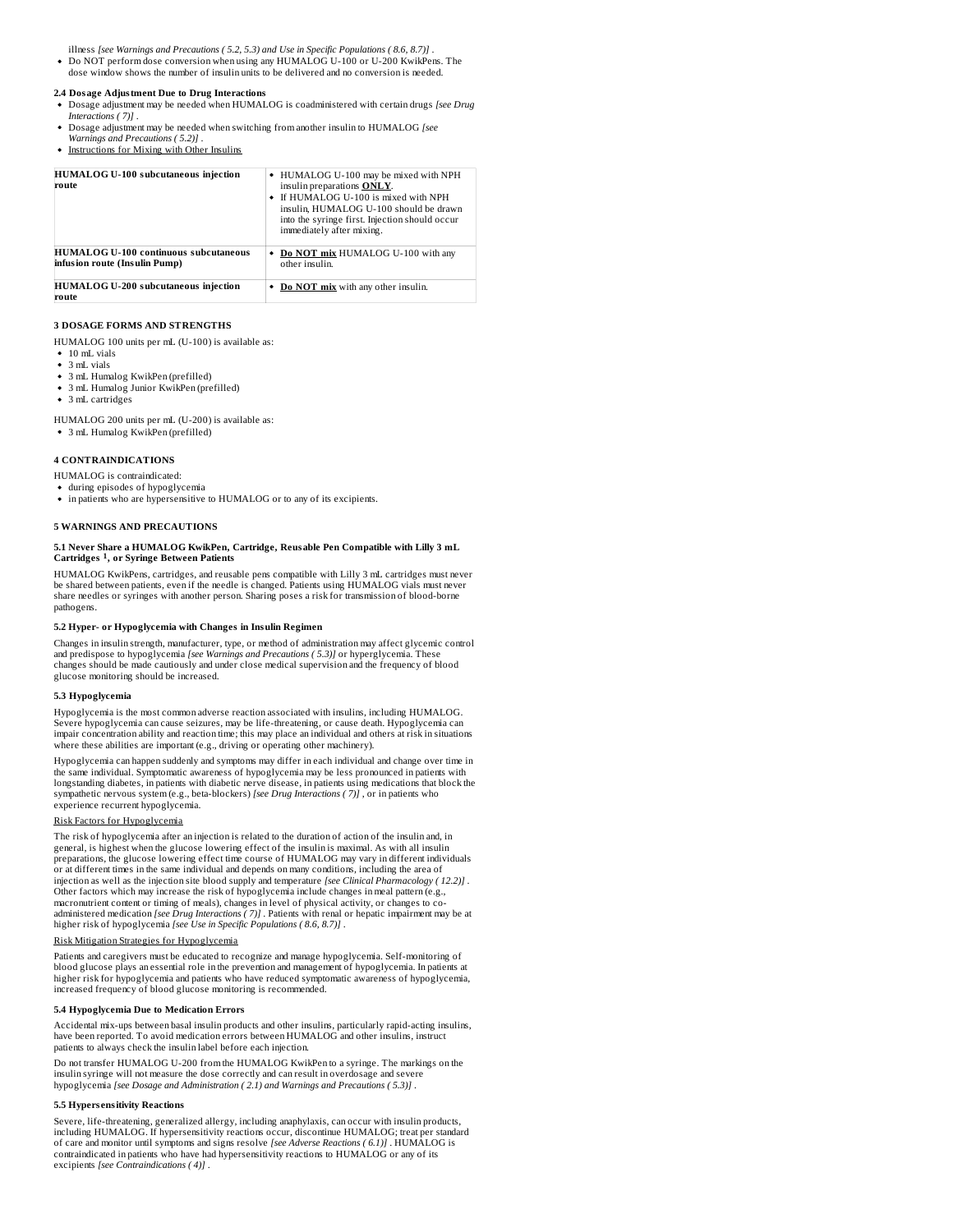illness *[see Warnings and Precautions ( 5.2, 5.3) and Use in Specific Populations ( 8.6, 8.7)]* .

Do NOT perform dose conversion when using any HUMALOG U-100 or U-200 KwikPens. The dose window shows the number of insulin units to be delivered and no conversion is needed.

# **2.4 Dosage Adjustment Due to Drug Interactions**

- Dosage adjustment may be needed when HUMALOG is coadministered with certain drugs *[see Drug Interactions ( 7)]* .
- Dosage adjustment may be needed when switching from another insulin to HUMALOG *[see*
- *Warnings and Precautions ( 5.2)]* .
- Instructions for Mixing with Other Insulins

| <b>HUMALOG U-100 subcutaneous injection</b><br>route                          | • HUMALOG U-100 may be mixed with NPH<br>insulin preparations <b>ONLY</b> .<br>If HUMALOG U-100 is mixed with NPH<br>insulin, HUMALOG U-100 should be drawn<br>into the syringe first. Injection should occur<br>immediately after mixing. |
|-------------------------------------------------------------------------------|--------------------------------------------------------------------------------------------------------------------------------------------------------------------------------------------------------------------------------------------|
| <b>HUMALOG U-100 continuous subcutaneous</b><br>infusion route (Insulin Pump) | Do NOT mix HUMALOG U-100 with any<br>other insulin.                                                                                                                                                                                        |
| <b>HUMALOG U-200 subcutaneous injection</b><br>route                          | Do NOT mix with any other insulin.                                                                                                                                                                                                         |

#### **3 DOSAGE FORMS AND STRENGTHS**

HUMALOG 100 units per mL (U-100) is available as:

- 10 mL vials
- $\bullet~$  3 mL vials
- 3 mL Humalog KwikPen (prefilled)
- 3 mL Humalog Junior KwikPen (prefilled) • 3 mL cartridges
- 

HUMALOG 200 units per mL (U-200) is available as: 3 mL Humalog KwikPen (prefilled)

# **4 CONTRAINDICATIONS**

- HUMALOG is contraindicated: during episodes of hypoglycemia
- $\bullet~$  in patients who are hypersensitive to HUMALOG or to any of its excipients.

#### **5 WARNINGS AND PRECAUTIONS**

## **5.1 Never Share a HUMALOG KwikPen, Cartridge, Reusable Pen Compatible with Lilly 3 mL Cartridges , or Syringe Between Patients 1**

HUMALOG KwikPens, cartridges, and reusable pens compatible with Lilly 3 mL cartridges must never be shared between patients, even if the needle is changed. Patients using HUMALOG vials must never share needles or syringes with another person. Sharing poses a risk for transmission of blood-borne pathogens.

#### **5.2 Hyper- or Hypoglycemia with Changes in Insulin Regimen**

Changes in insulin strength, manufacturer, type, or method of administration may affect glycemic control and predispose to hypoglycemia *[see Warnings and Precautions ( 5.3)]* or hyperglycemia. These<br>changes should be made cautiously and under close medical supervision and the frequency of blood glucose monitoring should be increased.

#### **5.3 Hypoglycemia**

Hypoglycemia is the most common adverse reaction associated with insulins, including HUMALOG. Severe hypoglycemia can cause seizures, may be life-threatening, or cause death. Hypoglycemia can impair concentration ability and reaction time; this may place an individual and others at risk in situations where these abilities are important (e.g., driving or operating other machinery).

Hypoglycemia can happen suddenly and symptoms may differ in each individual and change over time in the same individual. Symptomatic awareness of hypoglycemia may be less pronounced in patients with longstanding diabetes, in patients with diabetic nerve disease, in patients using medications that block the<br>sympathetic nervous system (e.g., beta-blockers) *[see Drug Interactions ( 7)]* , or in patients who experience recurrent hypoglycemia.

## Risk Factors for Hypoglycemia

The risk of hypoglycemia after an injection is related to the duration of action of the insulin and, in<br>general, is highest when the glucose lowering effect of the insulin is maximal. As with all insulin<br>preparations, the or at different times in the same individual and depends on many conditions, including the area of injection as well as the injection site blood supply and temperature *[see Clinical Pharmacology ( 12.2)] .*<br>Other factors which may increase the risk of hypoglycemia include changes in meal pattern (e.g., macronutrient content or timing of meals), changes in level of physical activity, or changes to coadministered medication [*see Drug Interactions ( 7*)] . Patients with renal or hepatic impairment may be at<br>higher risk of hypoglycemia [*see Use in Specific Populations ( 8.6, 8.7)*] .

# Risk Mitigation Strategies for Hypoglycemia

Patients and caregivers must be educated to recognize and manage hypoglycemia. Self-monitoring of blood glucose plays an essential role in the prevention and management of hypoglycemia. In patients at higher risk for hypoglycemia and patients who have reduced symptomatic awareness of hypoglycemia, increased frequency of blood glucose monitoring is recommended.

#### **5.4 Hypoglycemia Due to Medication Errors**

Accidental mix-ups between basal insulin products and other insulins, particularly rapid-acting insulins, have been reported. To avoid medication errors between HUMALOG and other insulins, instruct patients to always check the insulin label before each injection.

Do not transfer HUMALOG U-200 from the HUMALOG KwikPen to a syringe. The markings on the insulin syringe will not measure the dose correctly and can result in overdosage and severe<br>hypoglycemia *[see Dosage and Administration ( 2.1) and Warnings and Precautions ( 5.3)]* .

#### **5.5 Hypers ensitivity Reactions**

Severe, life-threatening, generalized allergy, including anaphylaxis, can occur with insulin products, including HUMALOG. If hypersensitivity reactions occur, discontinue HUMALOG; treat per standard of care and monitor until symptoms and signs resolve *[see Adverse Reactions ( 6.1)]* . HUMALOG is contraindicated in patients who have had hypersensitivity reactions to HUMALOG or any of its excipients *[see Contraindications ( 4)]* .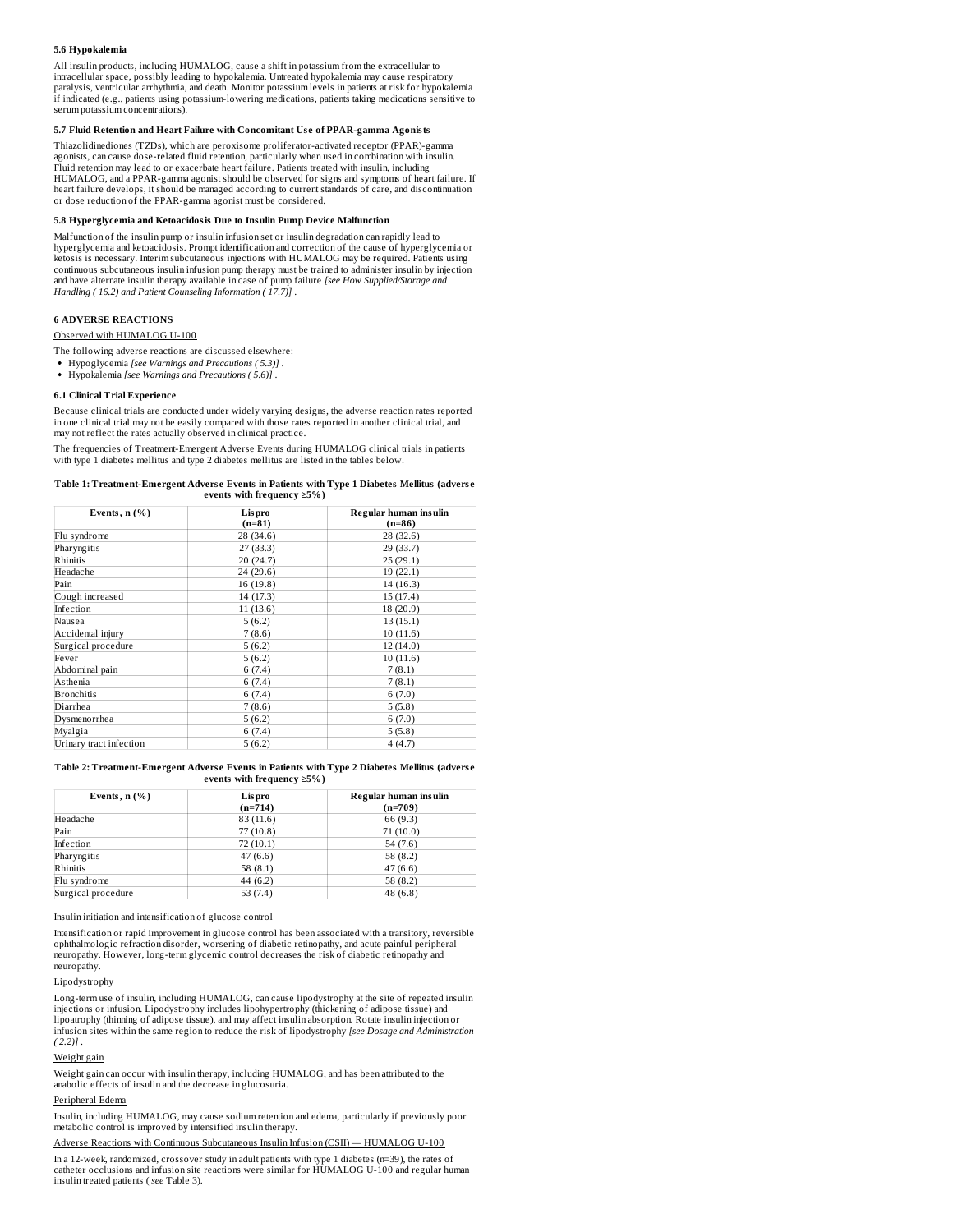#### **5.6 Hypokalemia**

All insulin products, including HUMALOG, cause a shift in potassium from the extracellular to intracellular space, possibly leading to hypokalemia. Untreated hypokalemia may cause respiratory<br>paralysis, ventricular arrhythmia, and death. Monitor potassium levels in patiems at risk for hypokalemia<br>if indicated (e.g. serum potassium concentrations).

#### **5.7 Fluid Retention and Heart Failure with Concomitant Us e of PPAR-gamma Agonists**

Thiazolidinediones (TZDs), which are peroxisome proliferator-activated receptor (PPAR)-gamma agonists, can cause dose-related fluid retention, particularly when used in combination with insulin. Fluid retention may lead to or exacerbate heart failure. Patients treated with insulin, including HUMALOG, and a PPAR-gamma agonist should be observed for signs and symptoms of heart failure. If heart failure develops, it should be managed according to current standards of care, and discontinuation or dose reduction of the PPAR-gamma agonist must be considered.

#### **5.8 Hyperglycemia and Ketoacidosis Due to Insulin Pump Device Malfunction**

Malfunction of the insulin pump or insulin infusion set or insulin degradation can rapidly lead to hyperglycemia and ketoacidosis. Prompt identification and correction of the cause of hyperglycemia or ketosis is necessary. Interim subcutaneous injections with HUMALOG may be required. Patients using continuous subcutaneous insulin infusion pump therapy must be trained to administer insulin by injection<br>and have alternate insulin therapy available in case of pump failure *[see How Supplied/Storage and*<br>Handling ( 16.2)

#### **6 ADVERSE REACTIONS**

Observed with HUMALOG U-100

The following adverse reactions are discussed elsewhere:

- Hypoglycemia *[see Warnings and Precautions ( 5.3)]* .
- Hypokalemia *[see Warnings and Precautions ( 5.6)]* .

#### **6.1 Clinical Trial Experience**

Because clinical trials are conducted under widely varying designs, the adverse reaction rates reported in one clinical trial may not be easily compared with those rates reported in another clinical trial, and may not reflect the rates actually observed in clinical practice.

The frequencies of Treatment-Emergent Adverse Events during HUMALOG clinical trials in patients<br>with type 1 diabetes mellitus and type 2 diabetes mellitus are listed in the tables below.

| Table 1: Treatment-Emergent Adverse Events in Patients with Type 1 Diabetes Mellitus (adverse |  |
|-----------------------------------------------------------------------------------------------|--|
| events with frequency $>5\%$ )                                                                |  |

| Events, $n$ $(\%)$      | Lispro<br>$(n=81)$ | Regular human insulin<br>$(n=86)$ |  |  |
|-------------------------|--------------------|-----------------------------------|--|--|
| Flu syndrome            | 28 (34.6)          | 28 (32.6)                         |  |  |
| Pharyngitis             | 27 (33.3)          | 29 (33.7)                         |  |  |
| Rhinitis                | 20 (24.7)          | 25(29.1)                          |  |  |
| Headache                | 24 (29.6)          | 19 (22.1)                         |  |  |
| Pain                    | 16(19.8)           | 14 (16.3)                         |  |  |
| Cough increased         | 14 (17.3)          | 15 (17.4)                         |  |  |
| Infection               | 11(13.6)           | 18 (20.9)                         |  |  |
| Nausea                  | 5(6.2)             | 13(15.1)                          |  |  |
| Accidental injury       | 7(8.6)             | 10(11.6)                          |  |  |
| Surgical procedure      | 5(6.2)             | 12(14.0)                          |  |  |
| Fever                   | 5(6.2)             | 10(11.6)                          |  |  |
| Abdominal pain          | 6(7.4)             | 7(8.1)                            |  |  |
| Asthenia                | 6(7.4)             | 7(8.1)                            |  |  |
| <b>Bronchitis</b>       | 6(7.4)             | 6(7.0)                            |  |  |
| Diarrhea                | 7(8.6)             | 5(5.8)                            |  |  |
| Dysmenorrhea            | 5(6.2)             | 6(7.0)                            |  |  |
| Myalgia                 | 6(7.4)             | 5(5.8)                            |  |  |
| Urinary tract infection | 5(6.2)             | 4(4.7)                            |  |  |

**Table 2: Treatment-Emergent Advers e Events in Patients with Type 2 Diabetes Mellitus (advers e events with frequency ≥5%)**

| Events, $n$ $(\%)$ | Lispro<br>$(n=714)$ | Regular human insulin<br>$(n=709)$ |
|--------------------|---------------------|------------------------------------|
| Headache           | 83 (11.6)           | 66 (9.3)                           |
| Pain               | 77(10.8)            | 71(10.0)                           |
| Infection          | 72(10.1)            | 54(7.6)                            |
| Pharyngitis        | 47(6.6)             | 58 (8.2)                           |
| Rhinitis           | 58 $(8.1)$          | 47(6.6)                            |
| Flu syndrome       | 44 (6.2)            | 58 (8.2)                           |
| Surgical procedure | 53(7.4)             | 48(6.8)                            |

Insulin initiation and intensification of glucose control

Intensification or rapid improvement in glucose control has been associated with a transitory, reversible ophthalmologic refraction disorder, worsening of diabetic retinopathy, and acute painful peripheral neuropathy. However, long-term glycemic control decreases the risk of diabetic retinopathy and neuropathy.

# Lipodystrophy

Long-term use of insulin, including HUMALOG, can cause lipodystrophy at the site of repeated insulin injections or infusion. Lipodystrophy includes lipohypertrophy (thickening of adipose tissue) and lipoatrophy (thinning of adipose tissue), and may affect insulin absorption. Rotate insulin injection or<br>infusion sites within the same region to reduce the risk of lipodystrophy *[see Dosage and Administration ( 2.2)]* .

## Weight gain

Weight gain can occur with insulin therapy, including HUMALOG, and has been attributed to the anabolic effects of insulin and the decrease in glucosuria.

# Peripheral Edema

Insulin, including HUMALOG, may cause sodium retention and edema, particularly if previously poor metabolic control is improved by intensified insulin therapy.

#### Adverse Reactions with Continuous Subcutaneous Insulin Infusion (CSII) — HUMALOG U-100

In a 12-week, randomized, crossover study in adult patients with type 1 diabetes (n=39), the rates of catheter occlusions and infusion site reactions were similar for HUMALOG U-100 and regular human insulin treated patients ( *see* Table 3).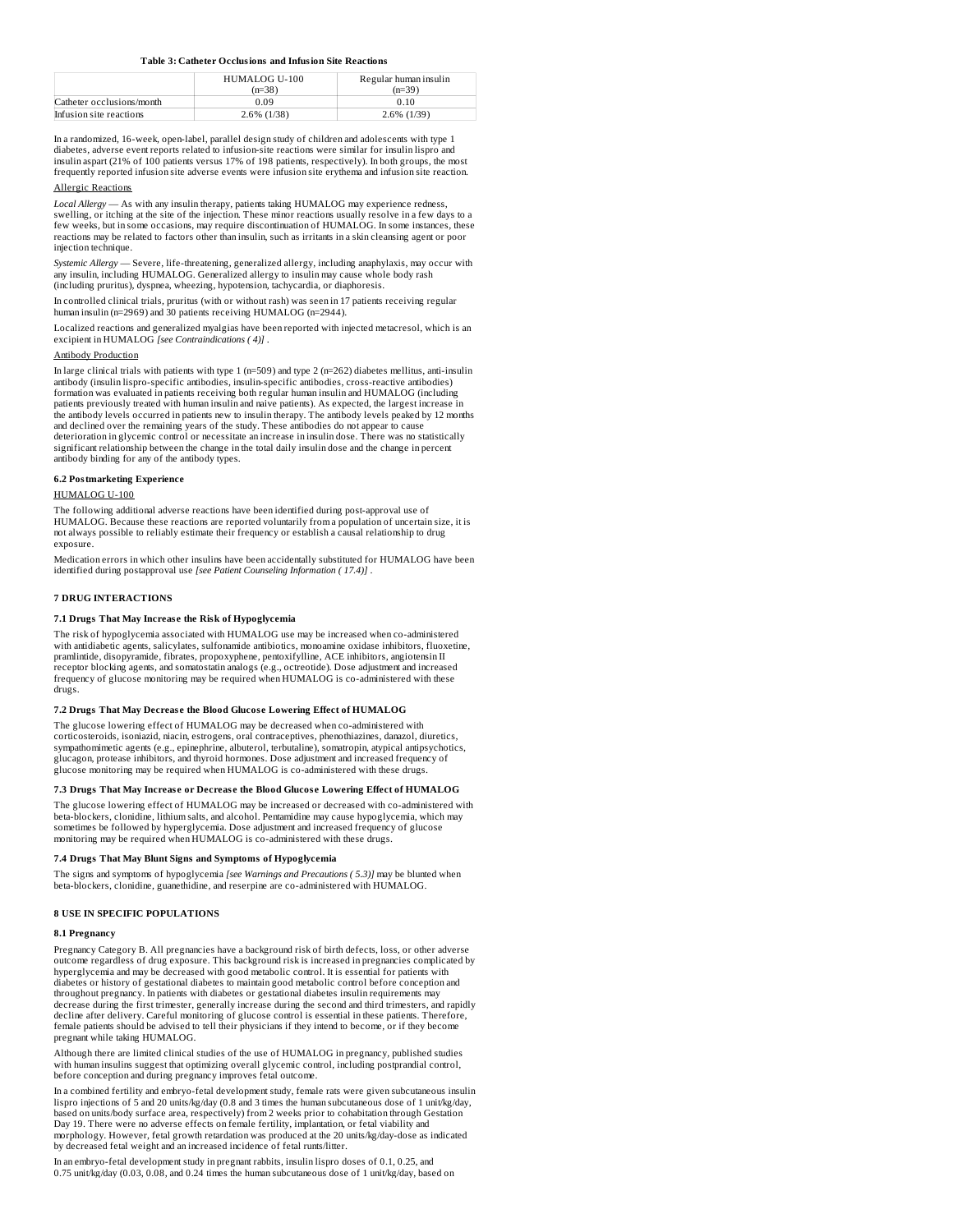#### **Table 3: Catheter Occlusions and Infusion Site Reactions**

|                           | HUMALOG U-100  | Regular human insulin |
|---------------------------|----------------|-----------------------|
|                           | $(n=38)$       | $(n=39)$              |
| Catheter occlusions/month | 0.09           | 0.10                  |
| Infusion site reactions   | $2.6\%$ (1/38) | $2.6\%$ (1/39)        |

In a randomized, 16-week, open-label, parallel design study of children and adolescents with type 1 diabetes, adverse event reports related to infusion-site reactions were similar for insulin lispro and insulin aspart (21% of 100 patients versus 17% of 198 patients, respectively). In both groups, the most frequently reported infusion site adverse events were infusion site erythema and infusion site reaction.

#### Allergic Reactions

*Local Allergy* — As with any insulin therapy, patients taking HUMALOG may experience redness, swelling, or itching at the site of the injection. These minor reactions usually resolve in a few days to a few weeks, but in some occasions, may require discontinuation of HUMALOG. In some instances, these reactions may be related to factors other than insulin, such as irritants in a skin cleansing agent or poor injection technique.

*Systemic Allergy* — Severe, life-threatening, generalized allergy, including anaphylaxis, may occur with any insulin, including HUMALOG. Generalized allergy to insulin may cause whole body rash (including pruritus), dyspnea, wheezing, hypotension, tachycardia, or diaphoresis.

In controlled clinical trials, pruritus (with or without rash) was seen in 17 patients receiving regular human insulin (n=2969) and 30 patients receiving HUMALOG (n=2944).

Localized reactions and generalized myalgias have been reported with injected metacresol, which is an excipient in HUMALOG *[see Contraindications ( 4)]* .

#### Antibody Production

In large clinical trials with patients with type 1 (n=509) and type 2 (n=262) diabetes mellitus, anti-insulin antibody (insulin lispro-specific antibodies, insulin-specific antibodies, cross-reactive antibodies) formation was evaluated in patients receiving both regular human insulin and HUMALOG (including patients previously treated with human insulin and naive patients). As expected, the largest increase in the antibody levels occurred in patients new to insulin therapy. The antibody levels peaked by 12 months and declined over the remaining years of the study. These antibodies do not appear to cause deterioration in glycemic control or necessitate an increase in insulin dose. There was no statistically significant relationship between the change in the total daily insulin dose and the change in percent antibody binding for any of the antibody types.

#### **6.2 Postmarketing Experience**

# HUMALOG U-100

The following additional adverse reactions have been identified during post-approval use of HUMALOG. Because these reactions are reported voluntarily from apopulation of uncertain size, it is not always possible to reliably estimate their frequency or establish a causal relationship to drug exposure.

Medication errors in which other insulins have been accidentally substituted for HUMALOG have been identified during postapproval use *[see Patient Counseling Information ( 17.4)]* .

#### **7 DRUG INTERACTIONS**

#### **7.1 Drugs That May Increas e the Risk of Hypoglycemia**

The risk of hypoglycemia associated with HUMALOG use may be increased when co-administered with antidiabetic agents, salicylates, sulfonamide antibiotics, monoamine oxidase inhibitors, fluoxetine, pramlintide, disopyramide, fibrates, propoxyphene, pentoxifylline, ACE inhibitors, angiotensin II receptor blocking agents, and somatostatin analogs (e.g., octreotide). Dose adjustment and increased frequency of glucose monitoring may be required when HUMALOG is co-administered with these drugs.

#### **7.2 Drugs That May Decreas e the Blood Glucos e Lowering Effect of HUMALOG**

The glucose lowering effect of HUMALOG may be decreased when co-administered with corticosteroids, isoniazid, niacin, estrogens, oral contraceptives, phenothiazines, danazol, diuretics, sympathomimetic agents (e.g., epinephrine, albuterol, terbutaline), somatropin, atypical antipsychotics, glucagon, protease inhibitors, and thyroid hormones. Dose adjustment and increased frequency of glucose monitoring may be required when HUMALOG is co-administered with these drugs.

#### **7.3 Drugs That May Increas e or Decreas e the Blood Glucos e Lowering Effect of HUMALOG**

The glucose lowering effect of HUMALOG may be increased or decreased with co-administered with beta-blockers, clonidine, lithium salts, and alcohol. Pentamidine may cause hypoglycemia, which may sometimes be followed by hyperglycemia. Dose adjustment and increased frequency of glucose monitoring may be required when HUMALOG is co-administered with these drugs.

#### **7.4 Drugs That May Blunt Signs and Symptoms of Hypoglycemia**

The signs and symptoms of hypoglycemia *[see Warnings and Precautions ( 5.3)]* may be blunted when beta-blockers, clonidine, guanethidine, and reserpine are co-administered with HUMALOG.

# **8 USE IN SPECIFIC POPULATIONS**

#### **8.1 Pregnancy**

Pregnancy Category B. All pregnancies have a background risk of birth defects, loss, or other adverse outcome regardless of drug exposure. This background risk is increased in pregnancies complicated by hyperglycemia and may be decreased with good metabolic control. It is essential for patients with diabetes or history of gestational diabetes to maintain good metabolic control before conception and throughout pregnancy. In patients with diabetes or gestational diabetes insulin requirements may decrease during the first trimester, generally increase during the second and third trimesters, and rapidly decline after delivery. Careful monitoring of glucose control is essential in these patients. Therefore, female patients should be advised to tell their physicians if they intend to become, or if they become pregnant while taking HUMALOG.

Although there are limited clinical studies of the use of HUMALOG in pregnancy, published studies<br>with human insulins suggest that optimizing overall glycemic control, including postprandial control, before conception and during pregnancy improves fetal outcome.

In a combined fertility and embryo-fetal development study, female rats were given subcutaneous insulin lispro injections of 5 and 20 units/kg/day (0.8 and 3 times the human subcutaneous dose of 1 unit/kg/day, based on units/body surface area, respectively) from 2 weeks prior to cohabitation through Gestation Day 19. There were no adverse effects on female fertility, implantation, or fetal viability and morphology. However, fetal growth retardation was produced at the 20 units/kg/day-dose as indicated by decreased fetal weight and an increased incidence of fetal runts/litter.

In an embryo-fetal development study in pregnant rabbits, insulin lispro doses of 0.1, 0.25, and 0.75 unit/kg/day (0.03, 0.08, and 0.24 times the human subcutaneous dose of 1 unit/kg/day, based on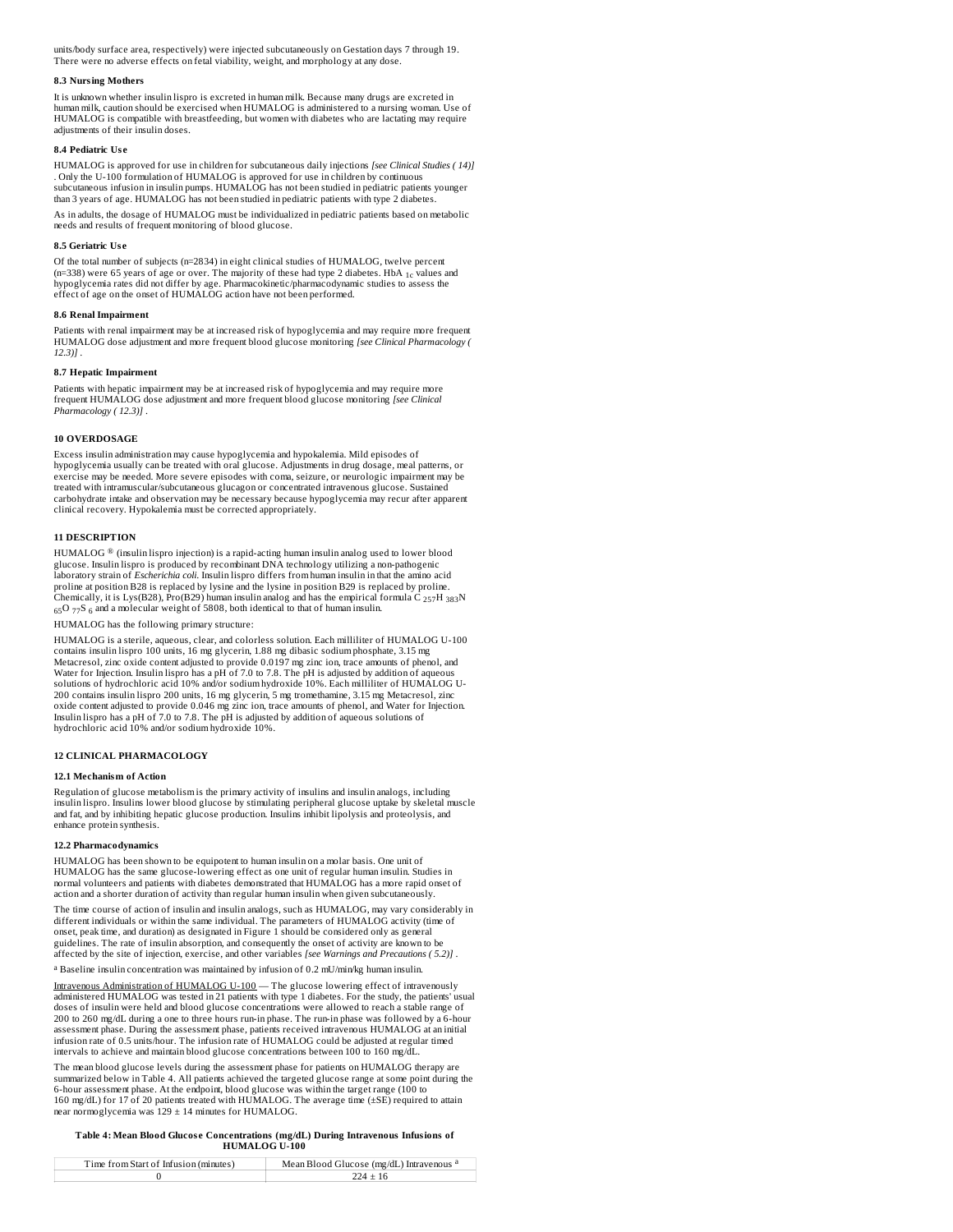units/body surface area, respectively) were injected subcutaneously on Gestation days 7 through 19. There were no adverse effects on fetal viability, weight, and morphology at any dose.

#### **8.3 Nursing Mothers**

It is unknown whether insulin lispro is excreted in human milk. Because many drugs are excreted in human milk, caution should be exercised when HUMALOG is administered to a nursing woman. Use of HUMALOG is compatible with breastfeeding, but women with diabetes who are lactating may require adjustments of their insulin doses.

#### **8.4 Pediatric Us e**

HUMALOG is approved for use in children for subcutaneous daily injections *[see Clinical Studies ( 14)]* . Only the U-100 formulation of HUMALOG is approved for use in children by continuous subcutaneous infusion in insulin pumps. HUMALOG has not been studied in pediatric patients younger than 3 years of age. HUMALOG has not been studied in pediatric patients with type 2 diabetes

As in adults, the dosage of HUMALOG must be individualized in pediatric patients based on metabolic needs and results of frequent monitoring of blood glucose.

#### **8.5 Geriatric Us e**

Of the total number of subjects (n=2834) in eight clinical studies of HUMALOG, twelve percent (n=338) were 65 years of age or over. The majority of these had type 2 diabetes. HbA <sub>1c</sub> values and<br>hypoglycemia rates did not differ by age. Pharmacokinetic/pharmacodynamic studies to assess the effect of age on the onset of HUMALOG action have not been performed.

# **8.6 Renal Impairment**

Patients with renal impairment may be at increased risk of hypoglycemia and may require more frequent HUMALOG dose adjustment and more frequent blood glucose monitoring *[see Clinical Pharmacology ( 12.3)]* .

#### **8.7 Hepatic Impairment**

Patients with hepatic impairment may be at increased risk of hypoglycemia and may require more frequent HUMALOG dose adjustment and more frequent blood glucose monitoring *[see Clinical Pharmacology ( 12.3)]* .

#### **10 OVERDOSAGE**

Excess insulin administration may cause hypoglycemia and hypokalemia. Mild episodes of hypoglycemia usually can be treated with oral glucose. Adjustments in drug dosage, meal patterns, or exercise may be needed. More severe episodes with coma, seizure, or neurologic impairment may be treated with intramuscular/subcutaneous glucagon or concentrated intravenous glucose. Sustained carbohydrate intake and observation may be necessary because hypoglycemia may recur after apparent clinical recovery. Hypokalemia must be corrected appropriately.

# **11 DESCRIPTION**

<code>HUMALOG</code>  $^\circledR$  (insulin lispro injection) is a rapid-acting human insulin analog used to lower blood glucose. Insulin lispro is produced by recombinant DNA technology utilizing a non-pathogenic laboratory strain of *Escherichia coli*. Insulin lispro differs from human insulin in that the amino acid proline at position B28 is replaced by lysine and the lysine in position B29 is replaced by proline.<br>Chemically, it is Lys(B28), Pro(B29) human insulin analog and has the empirical formula C <sub>257</sub>H <sub>383</sub>N<br><sub>65</sub>O <sub>77</sub>S <sub>6</sub> a

HUMALOG has the following primary structure:

HUMALOG is a sterile, aqueous, clear, and colorless solution. Each milliliter of HUMALOG U-100 contains insulin lispro 100 units, 16 mg glycerin, 1.88 mg dibasic sodium phosphate, 3.15 mg<br>Metacresol, zinc oxide content adjusted to provide 0.0197 mg zinc ion, trace amounts of phenol, and Water for Injection. Insulin lispro has a pH of 7.0 to 7.8. The pH is adjusted by addition of aqueous solutions of hydrochloric acid 10% and/or sodium hydroxide 10%. Each milliliter of HUMALOG U-200 contains insulin lispro 200 units, 16 mg glycerin, 5 mg tromethamine, 3.15 mg Metacresol, zinc oxide content adjusted to provide 0.046 mg zinc ion, trace amounts of phenol, and Water for Injection. Insulin lispro has a pH of 7.0 to 7.8. The pH is adjusted by addition of aqueous solutions of hydrochloric acid 10% and/or sodium hydroxide 10%.

### **12 CLINICAL PHARMACOLOGY**

#### **12.1 Mechanism of Action**

Regulation of glucose metabolism is the primary activity of insulins and insulin analogs, including insulin lispro. Insulins lower blood glucose by stimulating peripheral glucose uptake by skeletal muscle and fat, and by inhibiting hepatic glucose production. Insulins inhibit lipolysis and proteolysis, and enhance protein synthesis.

### **12.2 Pharmacodynamics**

HUMALOG has been shown to be equipotent to human insulin on a molar basis. One unit of HUMALOG has the same glucose-lowering effect as one unit of regular human insulin. Studies in normal volunteers and patients with diabetes demonstrated that HUMALOG has a more rapid onset of action and a shorter duration of activity than regular human insulin when given subcutaneously.

The time course of action of insulin and insulin analogs, such as HUMALOG, may vary considerably in different individuals or within the same individual. The parameters of HUMALOG activity (time of onset, peak time, and duration) as designated in Figure 1 should be considered only as general guidelines. The rate of insulin absorption, and consequently the onset of activity are known to be affected by the site of injection, exercise, and other variables *[see Warnings and Precautions ( 5.2)]* .

a Baseline insulin concentration was maintained by infusion of 0.2 mU/min/kg human insulin.

Intravenous Administration of HUMALOG U-100 — The glucose lowering effect of intravenously administered HUMALOG was tested in 21 patients with type 1 diabetes. For the study, the patients' usual doses of insulin were held and blood glucose concentrations were allowed to reach a stable range of 200 to 260 mg/dL during a one to three hours run-in phase. The run-in phase was followed by a 6-hour assessment phase. During the assessment phase, patients received intravenous HUMALOG at an initial infusion rate of 0.5 units/hour. The infusion rate of HUMALOG could be adjusted at regular timed intervals to achieve and maintain blood glucose concentrations between 100 to 160 mg/dL.

The mean blood glucose levels during the assessment phase for patients on HUMALOG therapy are summarized below in Table 4. All patients achieved the targeted glucose range at some point during the<br>6-hour assessment phase. At the endpoint, blood glucose was within the target range (100 to<br>160 mg/dL) for 17 of 20 pat near normoglycemia was 129 ± 14 minutes for HUMALOG.

# **Table 4: Mean Blood Glucos e Concentrations (mg/dL) During Intravenous Infusions of HUMALOG U-100**

| Time from Start of Infusion (minutes) | Mean Blood Glucose (mg/dL) Intravenous <sup>a</sup> |
|---------------------------------------|-----------------------------------------------------|
|                                       |                                                     |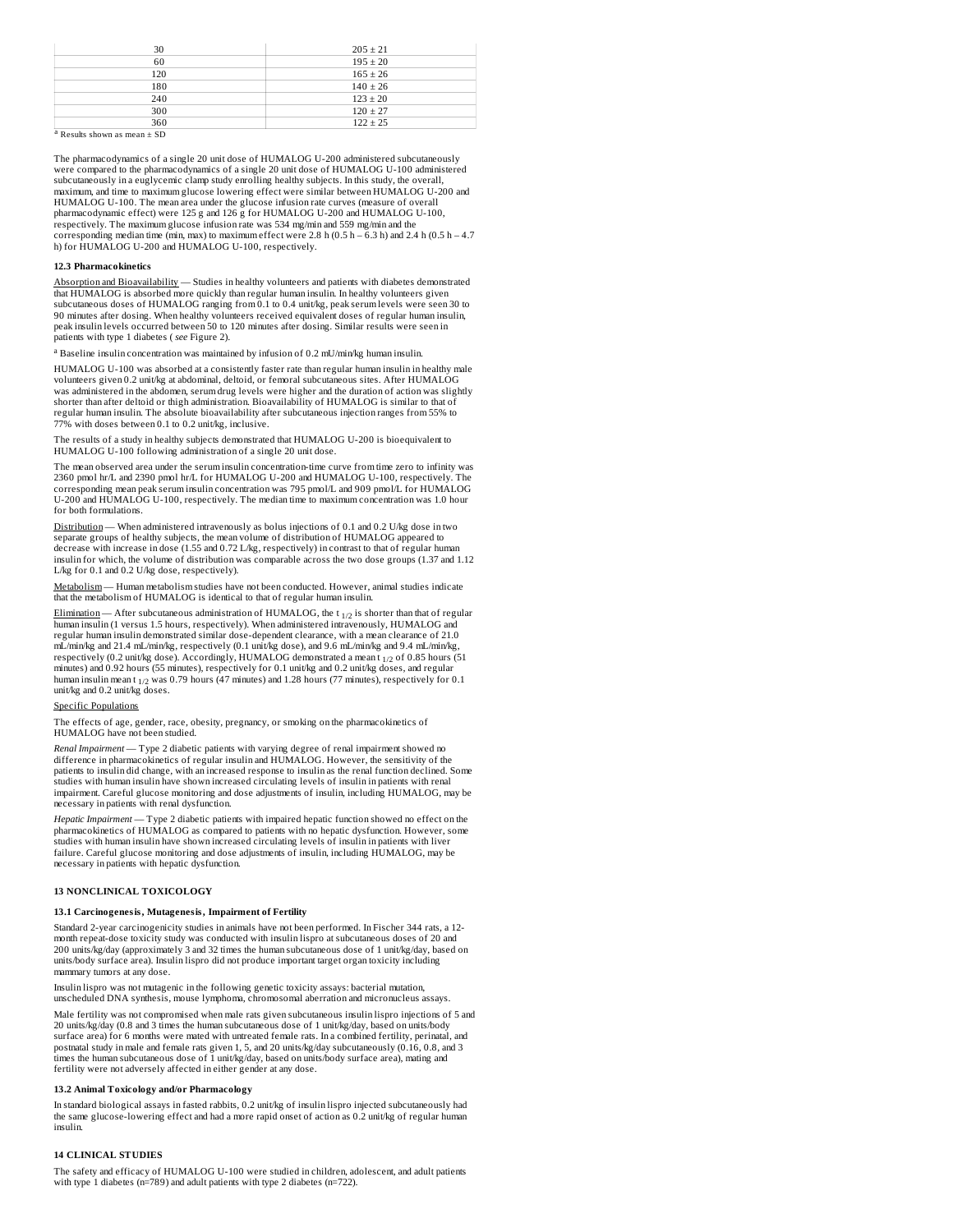| 30  | $205 \pm 21$ |
|-----|--------------|
| 60  | $195 \pm 20$ |
| 120 | $165 \pm 26$ |
| 180 | $140 \pm 26$ |
| 240 | $123 \pm 20$ |
| 300 | $120 \pm 27$ |
| 360 | $122 \pm 25$ |

 $a$  Results shown as mean  $\pm$  SD

The pharmacodynamics of a single 20 unit dose of HUMALOG U-200 administered subcutaneously were compared to the pharmacodynamics of a single 20 unit dose of HUMALOG U-100 administered subcutaneously in a euglycemic clamp study enrolling healthy subjects. In this study, the overall, maximum, and time to maximum glucose lowering effect were similar between HUMALOG U-200 and<br>HUMALOG U-100. The mean area under the glucose infusion rate curves (measure of overall pharmacodynamic effect) were 125 g and 126 g for HUMALOG U-200 and HUMALOG U-100, respectively. The maximum glucose infusion rate was 534 mg/min and 559 mg/min and the corresponding median time (min, max) to maximum effect were 2.8 h (0.5 h – 6.3 h) and 2.4 h (0.5 h – 4.7 h) for HUMALOG U-200 and HUMALOG U-100, respectively.

#### **12.3 Pharmacokinetics**

Absorption and Bioavailability — Studies in healthy volunteers and patients with diabetes demonstrated that HUMALOG is absorbed more quickly than regular human insulin. In healthy volunteers given subcutaneous doses of HUMALOG ranging from 0.1 to 0.4 unit/kg, peak serum levels were seen 30 to 90 minutes after dosing. When healthy volunteers received equivalent doses of regular human insulin, peak insulin levels occurred between 50 to 120 minutes after dosing. Similar results were seen in patients with type 1 diabetes ( *see* Figure 2).

a Baseline insulin concentration was maintained by infusion of 0.2 mU/min/kg human insulin.

HUMALOG U-100 was absorbed at a consistently faster rate than regular human insulin in healthy male volunteers given 0.2 unit/kg at abdominal, deltoid, or femoral subcutaneous sites. After HUMALOG was administered in the abdomen, serum drug levels were higher and the duration of action was slightly shorter than after deltoid or thigh administration. Bioavailability of HUMALOG is similar to that of regular human insulin. The absolute bioavailability after subcutaneous injection ranges from 55% to 77% with doses between 0.1 to 0.2 unit/kg, inclusive.

The results of a study in healthy subjects demonstrated that HUMALOG U-200 is bioequivalent to HUMALOG U-100 following administration of a single 20 unit dose.

The mean observed area under the serum insulin concentration-time curve from time zero to infinity was 2360 pmol hr/L and 2390 pmol hr/L for HUMALOG U-200 and HUMALOG U-100, respectively. The corresponding mean peak serum insulin concentration was 795 pmol/L and 909 pmol/L for HUMALOG U-200 and HUMALOG U-100, respectively. The median time to maximum concentration was 1.0 hour for both formulations.

Distribution — When administered intravenously as bolus injections of 0.1 and 0.2 U/kg dose in two separate groups of healthy subjects, the mean volume of distribution of HUMALOG appeared to decrease with increase in dose (1.55 and 0.72 L/kg, respectively) in contrast to that of regular human insulin for which, the volume of distribution was comparable across the two dose groups (1.37 and 1.12 L/kg for 0.1 and 0.2 U/kg dose, respectively).

Metabolism — Human metabolism studies have not been conducted. However, animal studies indicate that the metabolism of HUMALOG is identical to that of regular human insulin.

 $Elimination - After subcutaneous administration of HUMALOG, the t<sub>1/2</sub> is shorter than that of regular$ human insulin (1 versus 1.5 hours, respectively). When administered intravenously, HUMALOG and regular human insulin demonstrated similar dose-dependent clearance, with a mean clearance of 21.0 mL/min/kg and 21.4 mL/min/kg, respectively (0.1 unit/kg dose), and 9.6 mL/min/kg and 9.4 mL/min/kg, respectively (0.2 unit/kg dose). Accordingly, HUMALOG demonstrated a mean t  $_{1/2}$  of 0.85 hours (51  $\,$ minutes) and 0.92 hours (55 minutes), respectively for 0.1 unit/kg and 0.2 unit/kg doses, and regular<br>human insulin mean t <sub>1/2</sub> was 0.79 hours (47 minutes) and 1.28 hours (77 minutes), respectively for 0.1<br>unit/kg and 0.2

## Specific Populations

The effects of age, gender, race, obesity, pregnancy, or smoking on the pharmacokinetics of HUMALOG have not been studied.

*Renal Impairment* — Type 2 diabetic patients with varying degree of renal impairment showed no difference in pharmacokinetics of regular insulin and HUMALOG. However, the sensitivity of the patients to insulin did change, with an increased response to insulin as the renal function declined. Some studies with human insulin have shown increased circulating levels of insulin in patients with renal impairment. Careful glucose monitoring and dose adjustments of insulin, including HUMALOG, may be necessary in patients with renal dysfunction.

*Hepatic Impairment* — Type 2 diabetic patients with impaired hepatic function showed no effect on the pharmacokinetics of HUMALOG as compared to patients with no hepatic dysfunction. However, some studies with human insulin have shown increased circulating levels of insulin in patients with liver failure. Careful glucose monitoring and dose adjustments of insulin, including HUMALOG, may be necessary in patients with hepatic dysfunction.

# **13 NONCLINICAL TOXICOLOGY**

#### **13.1 Carcinogenesis, Mutagenesis, Impairment of Fertility**

Standard 2-year carcinogenicity studies in animals have not been performed. In Fischer 344 rats, a 12 month repeat-dose toxicity study was conducted with insulin lispro at subcutaneous doses of 20 and 200 units/kg/day (approximately 3 and 32 times the human subcutaneous dose of 1 unit/kg/day, based on units/body surface area). Insulin lispro did not produce important target organ toxicity including mammary tumors at any dose.

Insulin lispro was not mutagenic in the following genetic toxicity assays: bacterial mutation, unscheduled DNA synthesis, mouse lymphoma, chromosomal aberration and micronucleus assays.

Male fertility was not compromised when male rats given subcutaneous insulin lispro injections of 5 and 20 units/kg/day (0.8 and 3 times the human subcutaneous dose of 1 unit/kg/day, based on units/body surface area) for 6 months were mated with untreated female rats. In a combined fertility, perinatal, and postnatal study in male and female rats given 1, 5, and 20 units/kg/day subcutaneously (0.16, 0.8, and 3 times the human subcutaneous dose of 1 unit/kg/day, based on units/body surface area), mating and fertility were not adversely affected in either gender at any dose.

## **13.2 Animal Toxicology and/or Pharmacology**

In standard biological assays in fasted rabbits, 0.2 unit/kg of insulin lispro injected subcutaneously had the same glucose-lowering effect and had a more rapid onset of action as 0.2 unit/kg of regular human insulin.

# **14 CLINICAL STUDIES**

The safety and efficacy of HUMALOG U-100 were studied in children, adolescent, and adult patients with type 1 diabetes (n=789) and adult patients with type 2 diabetes (n=722).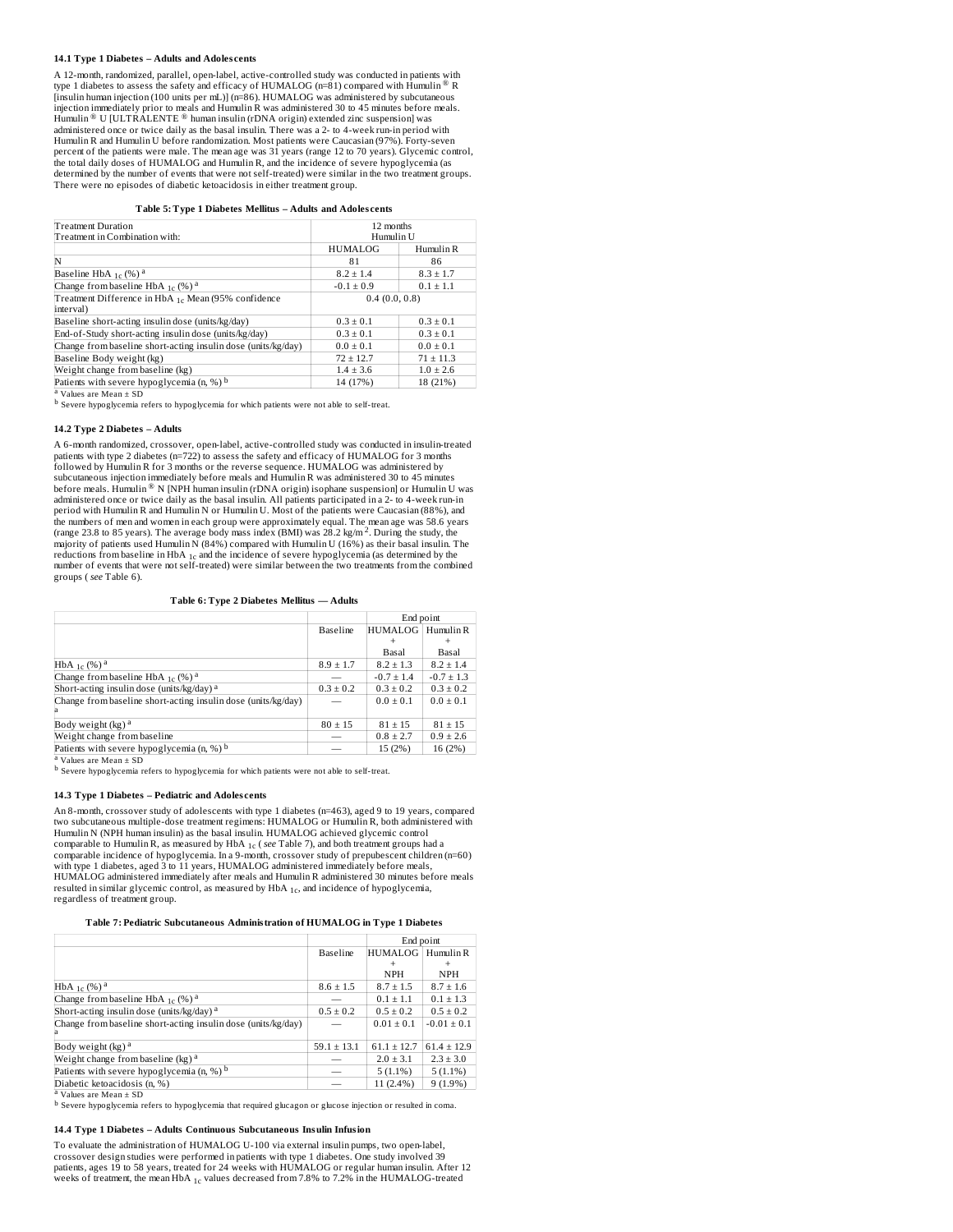## **14.1 Type 1 Diabetes – Adults and Adoles cents**

A 12-month, randomized, parallel, open-label, active-controlled study was conducted in patients with type 1 diabetes to assess the safety and efficacy of HUMALOG (n=81) compared with  $\overline{\mathrm{H}}$ umulin ® R [insulin human injection (100 units per mL)] (n=86). HUMALOG was administered by subcutaneous injection immediately prior to meals and Humulin R was administered 30 to 45 minutes before meals.  $\operatorname{H\!}\nolimits^{\circledR}$  U [ULTRALENTE  $^{\circledR}$  human insulin (rDNA origin) extended zinc suspension] was administered once or twice daily as the basal insulin. There was a 2- to 4-week run-in period with Humulin R and Humulin U before randomization. Most patients were Caucasian (97%). Forty-seven percent of the patients were male. The mean age was 31 years (range 12 to 70 years). Glycemic control, the total daily doses of HUMALOG and Humulin R, and the incidence of severe hypoglycemia (as determined by the number of events that were not self-treated) were similar in the two treatment groups. There were no episodes of diabetic ketoacidosis in either treatment group.

**Table 5: Type 1 Diabetes Mellitus – Adults and Adoles cents**

| Treatment Duration                                            | 12 months      |               |  |
|---------------------------------------------------------------|----------------|---------------|--|
| Treatment in Combination with:                                | Humulin U      |               |  |
|                                                               | <b>HUMALOG</b> | Humulin R     |  |
| İΝ                                                            | 81             | 86            |  |
| Baseline HbA $_{1c}$ (%) <sup>a</sup>                         | $8.2 \pm 1.4$  | $8.3 \pm 1.7$ |  |
| Change from baseline HbA $_{1c}$ (%) <sup>a</sup>             | $-0.1 \pm 0.9$ | $0.1 \pm 1.1$ |  |
| Treatment Difference in HbA 1c Mean (95% confidence           | 0.4(0.0, 0.8)  |               |  |
| interval)                                                     |                |               |  |
| Baseline short-acting insulin dose (units/kg/day)             | $0.3 \pm 0.1$  | $0.3 \pm 0.1$ |  |
| End-of-Study short-acting insulin dose (units/kg/day)         | $0.3 \pm 0.1$  | $0.3 \pm 0.1$ |  |
| Change from baseline short-acting insulin dose (units/kg/day) | $0.0 \pm 0.1$  | $0.0 \pm 0.1$ |  |
| Baseline Body weight (kg)                                     | $72 \pm 12.7$  | $71 \pm 11.3$ |  |
| Weight change from baseline (kg)                              | $1.4 \pm 3.6$  | $1.0 \pm 2.6$ |  |
| Patients with severe hypoglycemia $(n, %)$ <sup>b</sup>       | 14 (17%)       | 18 (21%)      |  |

<sup>a</sup> Values are Mean  $\pm$  SD

<sup>b</sup> Severe hypoglycemia refers to hypoglycemia for which patients were not able to self-treat.

#### **14.2 Type 2 Diabetes – Adults**

A 6-month randomized, crossover, open-label, active-controlled study was conducted in insulin-treated patients with type 2 diabetes (n=722) to assess the safety and efficacy of HUMALOG for 3 months<br>followed by Humulin R for 3 months or the reverse sequence. HUMALOG was administered by<br>subcutaneous injection immediately bef before meals. Humulin  $^\circledR$  N [NPH human insulin (rDNA origin) isophane suspension] or Humulin U was administered once or twice daily as the basal insulin. All patients participated in a 2- to 4-week run-in<br>period with Humulin R and Humulin N or Humulin U. Most of the patients were Caucasian (88%), and<br>the numbers of men (range 23.8 to 85 years). The average body mass index (BMI) was 28.2 kg/m<sup>2</sup>. During the study, the majority of patients used Humulin N (84%) compared with Humulin U (16%) as their basal insulin. The<br>reductions from baseline in HbA <sub>1c</sub> and the incidence of severe hypoglycemia (as determined by the number of events that were not self-treated) were similar between the two treatments from the combined groups ( *see* Table 6).

**Table 6: Type 2 Diabetes Mellitus — Adults**

|                                                               |                 | End point         |                |
|---------------------------------------------------------------|-----------------|-------------------|----------------|
|                                                               | <b>Baseline</b> | HUMALOG Humulin R |                |
|                                                               |                 |                   |                |
|                                                               |                 | Basal             | Basal          |
| HbA <sub>1c</sub> (%) <sup>a</sup>                            | $8.9 \pm 1.7$   | $8.2 \pm 1.3$     | $8.2 \pm 1.4$  |
| Change from baseline HbA $_{1c}$ (%) <sup>a</sup>             |                 | $-0.7 \pm 1.4$    | $-0.7 \pm 1.3$ |
| Short-acting insulin dose (units/kg/day) <sup>a</sup>         | $0.3 \pm 0.2$   | $0.3 \pm 0.2$     | $0.3 \pm 0.2$  |
| Change from baseline short-acting insulin dose (units/kg/day) |                 | $0.0 \pm 0.1$     | $0.0 + 0.1$    |
|                                                               |                 |                   |                |
| Body weight (kg) <sup>a</sup>                                 | $80 \pm 15$     | $81 + 15$         | $81 \pm 15$    |
| Weight change from baseline                                   |                 | $0.8 \pm 2.7$     | $0.9 \pm 2.6$  |
| Patients with severe hypoglycemia (n, %) b                    |                 | 15 (2%)           | 16 (2%)        |

<sup>a</sup> Values are Mean ± SD

<sup>b</sup> Severe hypoglycemia refers to hypoglycemia for which patients were not able to self-treat.

#### **14.3 Type 1 Diabetes – Pediatric and Adoles cents**

An 8-month, crossover study of adolescents with type 1 diabetes (n=463), aged 9 to 19 years, compared two subcutaneous multiple-dose treatment regimens: HUMALOG or Humulin R, both administered with Humulin N (NPH human insulin) as the basal insulin. HUMALOG achieved glycemic control comparable to Humulin R, as measured by HbA  $_{1c}$  ( *see* Table 7), and both treatment groups had a comparable incidence of hypoglycemia. In a 9-month, crossover study of prepubescent children (n=60) with type 1 diabetes, aged 3 to 11 years, HUMALOG administered immediately before meals, HUMALOG administered immediately after meals and Humulin R administered 30 minutes before meals<br>resulted in similar glycemic control, as measured by HbA <sub>1c</sub>, and incidence of hypoglycemia, regardless of treatment group.

## **Table 7: Pediatric Subcutaneous Administration of HUMALOG in Type 1 Diabetes**

|                                                               |                 | End point       |                 |  |
|---------------------------------------------------------------|-----------------|-----------------|-----------------|--|
|                                                               | <b>Baseline</b> | <b>HUMALOG</b>  | Humulin R       |  |
|                                                               |                 | $+$             |                 |  |
|                                                               |                 | <b>NPH</b>      | NPH             |  |
| $HbA_{1c}$ (%) <sup>a</sup>                                   | $8.6 \pm 1.5$   | $8.7 \pm 1.5$   | $8.7 \pm 1.6$   |  |
| Change from baseline HbA $_{1c}$ (%) <sup>a</sup>             |                 | $0.1 \pm 1.1$   | $0.1 \pm 1.3$   |  |
| Short-acting insulin dose (units/kg/day) <sup>a</sup>         | $0.5 \pm 0.2$   | $0.5 \pm 0.2$   | $0.5 \pm 0.2$   |  |
| Change from baseline short-acting insulin dose (units/kg/day) |                 | $0.01 \pm 0.1$  | $-0.01 \pm 0.1$ |  |
| Body weight (kg) <sup>a</sup>                                 | $59.1 \pm 13.1$ | $61.1 \pm 12.7$ | $61.4 \pm 12.9$ |  |
| Weight change from baseline (kg) <sup>a</sup>                 |                 | $2.0 \pm 3.1$   | $2.3 \pm 3.0$   |  |
| Patients with severe hypoglycemia $(n, %)$ <sup>b</sup>       |                 | $5(1.1\%)$      | $5(1.1\%)$      |  |
| Diabetic ketoacidosis (n. %)                                  |                 | $11(2.4\%)$     | $9(1.9\%)$      |  |

<sup>a</sup> Values are Mean ± SD

 $^{\rm b}$  Severe hypoglycemia refers to hypoglycemia that required glucagon or glucose injection or resulted in coma.

#### **14.4 Type 1 Diabetes – Adults Continuous Subcutaneous Insulin Infusion**

To evaluate the administration of HUMALOG U-100 via external insulin pumps, two open-label, crossover design studies were performed in patients with type 1 diabetes. One study involved 39<br>patients, ages 19 to 58 years, treated for 24 weeks with HUMALOG or regular human insulin. After 12<br>weeks of treatment, the me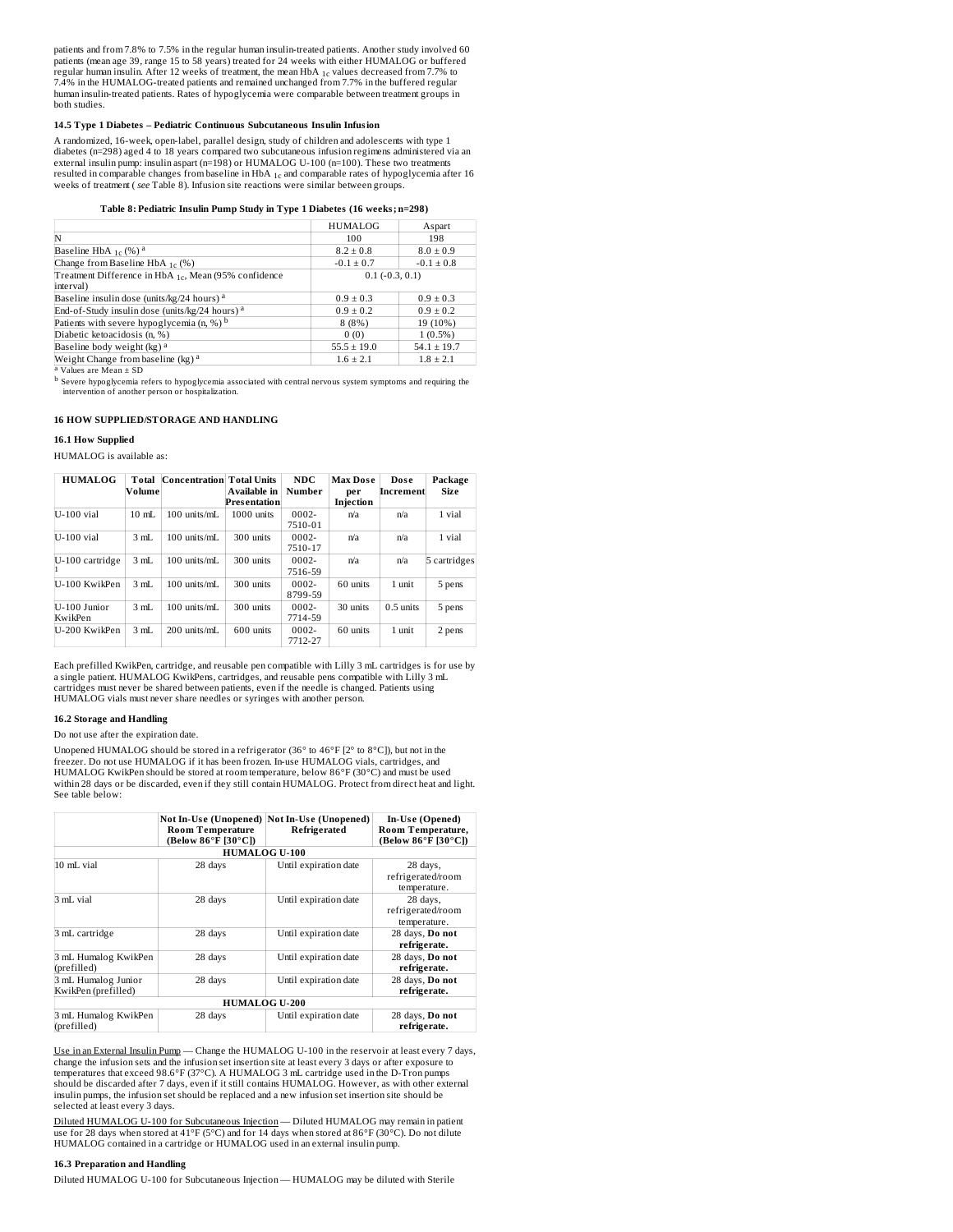patients and from 7.8% to 7.5% in the regular human insulin-treated patients. Another study involved 60 1c patients (mean age 39, range 15 to 58 years) treated for 24 weeks with either HUMALOG or buffered regular human insulin. After 12 weeks of treatment, the mean HbA  $_{\rm 1c}$  values decreased from 7.7% to 7.4% in the HUMALOG-treated patients and remained unchanged from 7.7% in the buffered regular human insulin-treated patients. Rates of hypoglycemia were comparable between treatment groups in both studies.

#### **14.5 Type 1 Diabetes – Pediatric Continuous Subcutaneous Insulin Infusion**

A randomized, 16-week, open-label, parallel design, study of children and adolescents with type 1 diabetes (n=298) aged 4 to 18 years compared two subcutaneous infusion regimens administered via an<br>external insulin pump: insulin aspart (n=198) or HUMALOG U-100 (n=100). These two treatments<br>resulted in comparable change

#### **Table 8: Pediatric Insulin Pump Study in Type 1 Diabetes (16 weeks; n=298)**

|                                                            | <b>HUMALOG</b>    | Aspart          |
|------------------------------------------------------------|-------------------|-----------------|
| N                                                          | 100               | 198             |
| Baseline HbA $_{1c}$ (%) <sup>a</sup>                      | $8.2 \pm 0.8$     | $8.0 \pm 0.9$   |
| Change from Baseline HbA $_{1c}$ (%)                       | $-0.1 \pm 0.7$    | $-0.1 \pm 0.8$  |
| Treatment Difference in HbA 10, Mean (95% confidence       | $0.1 (-0.3, 0.1)$ |                 |
| interval)                                                  |                   |                 |
| Baseline insulin dose (units/kg/24 hours) a                | $0.9 \pm 0.3$     | $0.9 \pm 0.3$   |
| End-of-Study insulin dose (units/kg/24 hours) <sup>a</sup> | $0.9 \pm 0.2$     | $0.9 \pm 0.2$   |
| Patients with severe hypoglycemia $(n, %)$ <sup>b</sup>    | 8(8%)             | 19 (10%)        |
| Diabetic ketoacidosis (n, %)                               | 0(0)              | $1(0.5\%)$      |
| Baseline body weight (kg) <sup>a</sup>                     | $55.5 \pm 19.0$   | $54.1 \pm 19.7$ |
| Weight Change from baseline (kg) <sup>a</sup>              | $1.6 \pm 2.1$     | $1.8 \pm 2.1$   |

<sup>a</sup> Values are Mean  $\pm$  SD

<sup>b</sup> Severe hypoglycemia refers to hypoglycemia associated with central nervous system symptoms and requiring the<br>intervention of another person or hospitalization.

# **16 HOW SUPPLIED/STORAGE AND HANDLING**

#### **16.1 How Supplied**

#### HUMALOG is available as:

| <b>HUMALOG</b>          | Total<br>Volume | <b>Concentration Total Units</b> | Available in<br>Presentation | NDC.<br>Number      | <b>Max Dose</b><br>per<br>Iniection | Dose<br>Increment | Package<br>Size |
|-------------------------|-----------------|----------------------------------|------------------------------|---------------------|-------------------------------------|-------------------|-----------------|
| $U-100$ vial            | $10$ mL         | $100$ units/mL                   | 1000 units                   | $0002 -$<br>7510-01 | n/a                                 | n/a               | 1 vial          |
| U-100 vial              | 3 mL            | $100$ units/mL                   | 300 units                    | $0002 -$<br>7510-17 | n/a                                 | n/a               | 1 vial          |
| U-100 cartridge         | 3 mL            | $100$ units/mL                   | 300 units                    | $0002 -$<br>7516-59 | n/a                                 | n/a               | 5 cartridges    |
| U-100 KwikPen           | 3 <sub>mL</sub> | $100$ units/mL                   | 300 units                    | $0002 -$<br>8799-59 | 60 units                            | 1 unit            | 5 pens          |
| U-100 Junior<br>KwikPen | 3 mL            | $100$ units/mL                   | 300 units                    | $0002 -$<br>7714-59 | 30 units                            | $0.5$ units       | 5 pens          |
| U-200 KwikPen           | 3 <sub>mL</sub> | $200$ units/mL                   | 600 units                    | $0002 -$<br>7712-27 | 60 units                            | 1 unit            | 2 pens          |

Each prefilled KwikPen, cartridge, and reusable pen compatible with Lilly 3 mL cartridges is for use by a single patient. HUMALOG KwikPens, cartridges, and reusable pens compatible with Lilly 3 mL cartridges must never be shared between patients, even if the needle is changed. Patients using HUMALOG vials must never share needles or syringes with another person.

#### **16.2 Storage and Handling**

#### Do not use after the expiration date.

Unopened HUMALOG should be stored in a refrigerator (36° to 46°F [2° to 8°C]), but not in the freezer. Do not use HUMALOG if it has been frozen. In-use HUMALOG vials, cartridges, and<br>HUMALOG KwikPen should be stored at room temperature, below 86°F (30°C) and must be used within 28 days or be discarded, even if they still contain HUMALOG. Protect from direct heat and light. See table below:

|                                            | <b>Room Temperature</b><br>(Below 86°F [30°C]) | Not In-Use (Unopened) Not In-Use (Unopened)<br>Refrigerated | In-Use (Opened)<br>Room Temperature,<br>(Below 86°F [30°C]) |
|--------------------------------------------|------------------------------------------------|-------------------------------------------------------------|-------------------------------------------------------------|
|                                            |                                                | <b>HUMALOG U-100</b>                                        |                                                             |
| 10 mL vial                                 | 28 days                                        | Until expiration date                                       | 28 days,<br>refrigerated/room<br>temperature.               |
| 3 mL vial                                  | 28 days                                        | Until expiration date                                       | 28 days,<br>refrigerated/room<br>temperature.               |
| 3 mL cartridge                             | 28 days                                        | Until expiration date                                       | 28 days, Do not<br>refrigerate.                             |
| 3 mL Humalog KwikPen<br>(prefilled)        | 28 days                                        | Until expiration date                                       | 28 days, Do not<br>refrigerate.                             |
| 3 mL Humalog Junior<br>KwikPen (prefilled) | 28 days                                        | Until expiration date                                       | 28 days, Do not<br>refrigerate.                             |
|                                            |                                                | <b>HUMALOG U-200</b>                                        |                                                             |
| 3 mL Humalog KwikPen<br>(prefilled)        | 28 days                                        | Until expiration date                                       | 28 days, Do not<br>refrigerate.                             |

Use in an External Insulin Pump - Change the HUMALOG U-100 in the reservoir at least every 7 days, change the infusion sets and the infusion set insertion site at least every 3 days or after exposure to temperatures that exceed 98.6°F (37°C). A HUMALOG 3 mL cartridge used in the D-Tron pumps should be discarded after 7 days, even if it still contains HUMALOG. However, as with other external insulin pumps, the infusion set should be replaced and a new infusion set insertion site should be selected at least every 3 days.

Diluted HUMALOG U-100 for Subcutaneous Injection — Diluted HUMALOG may remain in patient use for 28 days when stored at 41°F (5°C) and for 14 days when stored at 86°F (30°C). Do not dilute<br>HUMALOG contained in a cartridge or HUMALOG used in an external insulin pump.

#### **16.3 Preparation and Handling**

Diluted HUMALOG U-100 for Subcutaneous Injection — HUMALOG may be diluted with Sterile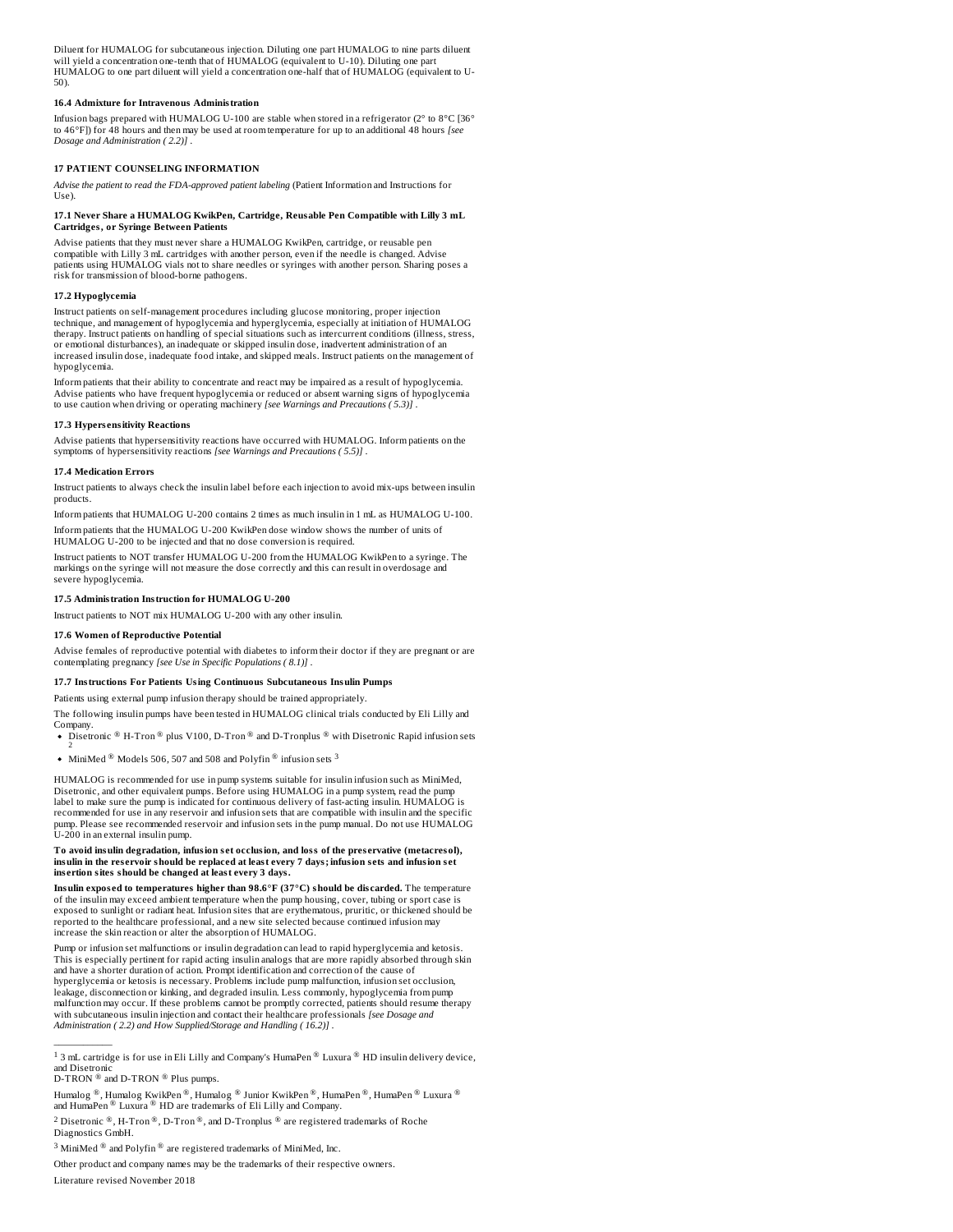Diluent for HUMALOG for subcutaneous injection. Diluting one part HUMALOG to nine parts diluent will yield a concentration one-tenth that of HUMALOG (equivalent to U-10). Diluting one part<br>HUMALOG to one part diluent will yield a concentration one-half that of HUMALOG (equivalent to U-50).

# **16.4 Admixture for Intravenous Administration**

Infusion bags prepared with HUMALOG U-100 are stable when stored in a refrigerator (2° to 8°C [36° to 46°F]) for 48 hours and then may be used at room temperature for up to an additional 48 hours *[see Dosage and Administration ( 2.2)]* .

# **17 PATIENT COUNSELING INFORMATION**

*Advise the patient to read the FDA-approved patient labeling* (Patient Information and Instructions for Use).

# 17.1 Never Share a HUMALOG KwikPen, Cartridge, Reusable Pen Compatible with Lilly 3 mL<br>Cartridges, or Syringe Between Patients

Advise patients that they must never share a HUMALOG KwikPen, cartridge, or reusable pen compatible with Lilly 3 mL cartridges with another person, even if the needle is changed. Advise patients using HUMALOG vials not to share needles or syringes with another person. Sharing poses a risk for transmission of blood-borne pathogens.

#### **17.2 Hypoglycemia**

Instruct patients on self-management procedures including glucose monitoring, proper injection technique, and management of hypoglycemia and hyperglycemia, especially at initiation of HUMALOG therapy. Instruct patients on handling of special situations such as intercurrent conditions (illness, stress, or emotional disturbances), an inadequate or skipped insulin dose, inadvertent administration of an increased insulin dose, inadequate food intake, and skipped meals. Instruct patients on the management of hypoglycemia.

Inform patients that their ability to concentrate and react may be impaired as a result of hypoglycemia. Advise patients who have frequent hypoglycemia or reduced or absent warning signs of hypoglycemia to use caution when driving or operating machinery *[see Warnings and Precautions ( 5.3)]* .

#### **17.3 Hypers ensitivity Reactions**

Advise patients that hypersensitivity reactions have occurred with HUMALOG. Inform patients on the symptoms of hypersensitivity reactions *[see Warnings and Precautions ( 5.5)]* .

#### **17.4 Medication Errors**

Instruct patients to always check the insulin label before each injection to avoid mix-ups between insulin products.

Inform patients that HUMALOG U-200 contains 2 times as much insulin in 1 mL as HUMALOG U-100. Inform patients that the HUMALOG U-200 KwikPen dose window shows the number of units of

HUMALOG U-200 to be injected and that no dose conversion is required. Instruct patients to NOT transfer HUMALOG U-200 from the HUMALOG KwikPen to a syringe. The markings on the syringe will not measure the dose correctly and this can result in overdosage and severe hypoglycemia.

# **17.5 Administration Instruction for HUMALOG U-200**

Instruct patients to NOT mix HUMALOG U-200 with any other insulin.

# **17.6 Women of Reproductive Potential**

Advise females of reproductive potential with diabetes to inform their doctor if they are pregnant or are contemplating pregnancy *[see Use in Specific Populations ( 8.1)]* .

### **17.7 Instructions For Patients Using Continuous Subcutaneous Insulin Pumps**

Patients using external pump infusion therapy should be trained appropriately.

- The following insulin pumps have been tested in HUMALOG clinical trials conducted by Eli Lilly and Company.
- Disetronic  $^{\circledR}$  H-Tron  $^{\circledR}$  plus V100, D-Tron  $^{\circledR}$  and D-Tronplus  $^{\circledR}$  with Disetronic Rapid infusion sets<br>2
- MiniMed  $^\circledR$  Models 506, 507 and 508 and Polyfin  $^\circledR$  infusion sets  $^3$

HUMALOG is recommended for use in pump systems suitable for insulin infusion such as MiniMed, Disetronic, and other equivalent pumps. Before using HUMALOG in a pump system, read the pump label to make sure the pump is indicated for continuous delivery of fast-acting insulin. HUMALOG is recommended for use in any reservoir and infusion sets that are compatible with insulin and the specific pump. Please see recommended reservoir and infusion sets in the pump manual. Do not use HUMALOG U-200 in an external insulin pump.

#### **To avoid insulin degradation, infusion s et occlusion, and loss of the pres ervative (metacresol),** insulin in the reservoir should be replaced at least every 7 days; infusion sets and infusion set **ins ertion sites should be changed at least every 3 days.**

**Insulin expos ed to temperatures higher than 98.6°F (37°C) should be dis carded.** The temperature of the insulin may exceed ambient temperature when the pump housing, cover, tubing or sport case is exposed to sunlight or radiant heat. Infusion sites that are erythematous, pruritic, or thickened should be reported to the healthcare professional, and a new site selected because continued infusion may increase the skin reaction or alter the absorption of HUMALOG.

Pump or infusion set malfunctions or insulin degradation can lead to rapid hyperglycemia and ketosis. This is especially pertinent for rapid acting insulin analogs that are more rapidly absorbed through skin and have a shorter duration of action. Prompt identification and correction of the cause of hyperglycemia or ketosis is necessary. Problems include pump malfunction, infusion set occlusion, leakage, disconnection or kinking, and degraded insulin. Less commonly, hypoglycemia from pump malfunction may occur. If these problems cannot be promptly corrected, patients should resume therapy with subcutaneous insulin injection and contact their healthcare professionals *[see Dosage and Administration ( 2.2) and How Supplied/Storage and Handling ( 16.2)]* .

 $\frac{1}{2}$ 

Other product and company names may be the trademarks of their respective owners.

Literature revised November 2018

<sup>&</sup>lt;sup>1</sup> 3 mL cartridge is for use in Eli Lilly and Company's HumaPen  $^{\circledR}$  Luxura  $^{\circledR}$  HD insulin delivery device, and Disetronic

 $D$ -TRON  $^{\circledR}$  and D-TRON  $^{\circledR}$  Plus pumps.

Humalog ®, Humalog KwikPen ®, Humalog ® Junior KwikPen ®, HumaPen ®, HumaPen ® Luxura ® and HumaPen  $^{\circledR}$  Luxura  $^{\circledR}$  HD are trademarks of Eli Lilly and Company.

<sup>&</sup>lt;sup>2</sup> Disetronic ®, H-Tron ®, D-Tron ®, and D-Tronplus ® are registered trademarks of Roche Diagnostics GmbH.

<sup>&</sup>lt;sup>3</sup> MiniMed  $^{\circledR}$  and Polyfin  $^{\circledR}$  are registered trademarks of MiniMed, Inc.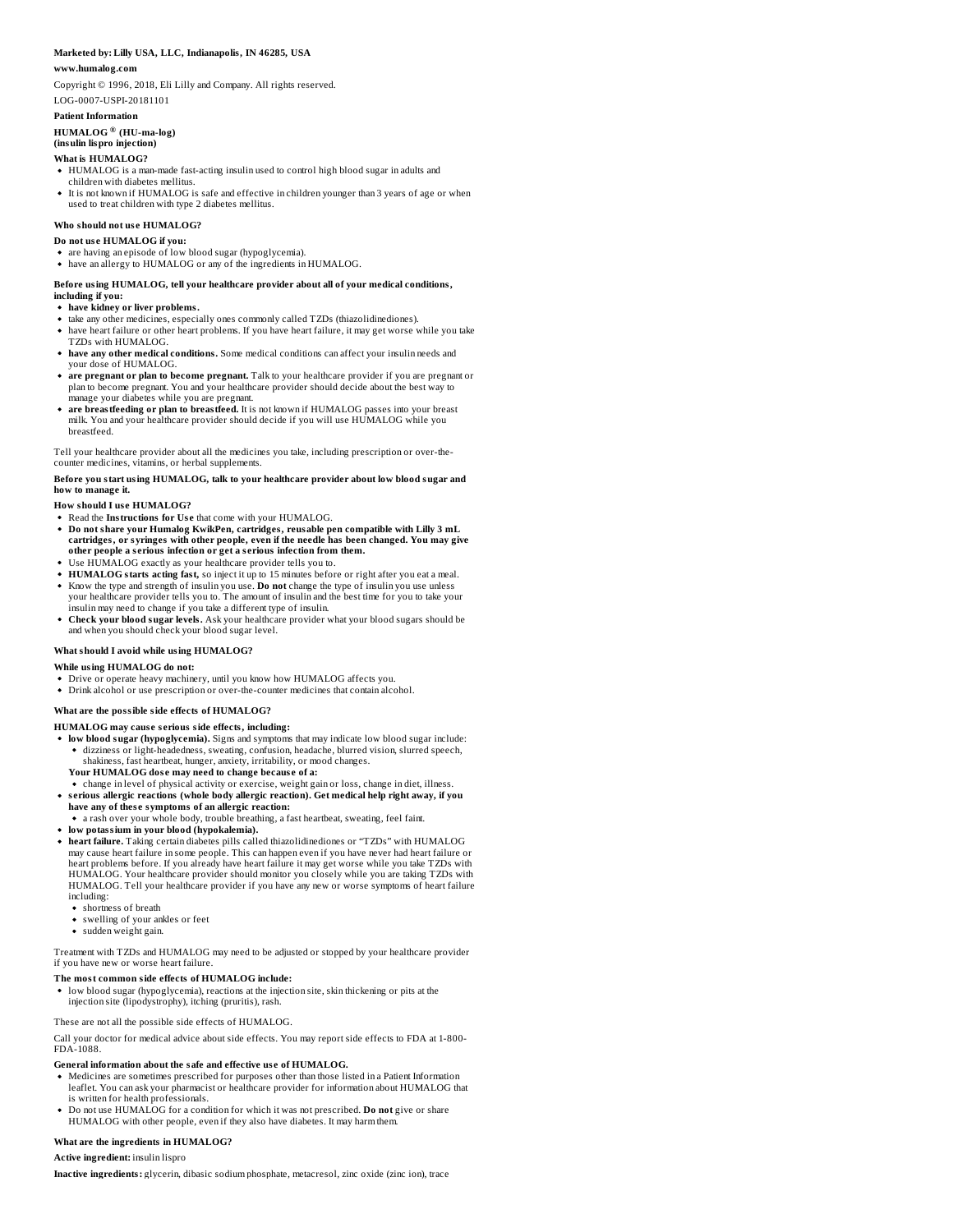# **Marketed by: Lilly USA, LLC, Indianapolis, IN 46285, USA**

#### **www.humalog.com**

Copyright © 1996, 2018, Eli Lilly and Company. All rights reserved. LOG-0007-USPI-20181101

# **Patient Information**

**HUMALOG (HU-ma-log) ®(insulin lispro injection)**

# **What is HUMALOG?**

- HUMALOG is a man-made fast-acting insulin used to control high blood sugar in adults and children with diabetes mellitus.
- It is not known if HUMALOG is safe and effective in children younger than 3 years of age or when used to treat children with type 2 diabetes mellitus.

# **Who should not us e HUMALOG?**

- **Do not us e HUMALOG ifyou:**
- are having an episode of low blood sugar (hypoglycemia). • have an allergy to HUMALOG or any of the ingredients in HUMALOG.

# **Before using HUMALOG, tell your healthcare provider about all of your medical conditions, including if you:**

- **have kidney or liver problems.**
- take any other medicines, especially ones commonly called TZDs (thiazolidinediones).
- have heart failure or other heart problems. If you have heart failure, it may get worse while you take TZDs with HUMALOG.
- **have any other medical conditions.** Some medical conditions can affect your insulin needs and your dose of HUMALOG.
- **are pregnant or plan to become pregnant.** Talk to your healthcare provider if you are pregnant or<br>plan to become pregnant. You and your healthcare provider should decide about the best way to manage your diabetes while you are pregnant.
- **are breastfeeding or plan to breastfeed.** It is not known if HUMALOG passes into your breast milk. You and your healthcare provider should decide if you will use HUMALOG while you breastfeed.

Tell your healthcare provider about all the medicines you take, including prescription or over-thecounter medicines, vitamins, or herbal supplements.

## **Before you start using HUMALOG, talk to your healthcare provider about low blood sugar and how to manage it.**

#### **How should I us e HUMALOG?**

- Read the **Instructions for Us e** that come with your HUMALOG.
- **Do not share your Humalog KwikPen, cartridges, reusable pen compatible with Lilly 3 mL cartridges, or syringes with other people, even if the needle has been changed. You may give other people a s erious infection or get a s erious infection from them.**
- Use HUMALOG exactly as your healthcare provider tells you to.
- **HUMALOG starts acting fast,** so inject it up to 15 minutes before or right after you eat a meal.
- Know the type and strength of insulin you use. **Do not** change the type of insulin you use unless your healthcare provider tells you to. The amount of insulin and the best time for you to take your  $\tilde{\text{in}}$ sulin may need to change if you take a different type of insulin.
- **Check your blood sugar levels.** Ask your healthcare provider what your blood sugars should be and when you should check your blood sugar level.

### **What should I avoid while using HUMALOG?**

## **While using HUMALOG do not:**

- Drive or operate heavy machinery, until you know how HUMALOG affects you. Drink alcohol or use prescription or over-the-counter medicines that contain alcohol.
- **What are the possible side effects of HUMALOG?**

- **HUMALOG may caus e s erious side effects, including:**
- **low blood sugar (hypoglycemia).** Signs and symptoms that may indicate low blood sugar include: dizziness or light-headedness, sweating, confusion, headache, blurred vision, slurred speech, shakiness, fast heartbeat, hunger, anxiety, irritability, or mood changes. **Your HUMALOG dos e may need to change becaus e of a:**
- change in level of physical activity or exercise, weight gain or loss, change in diet, illness.
- **s erious allergic reactions (whole body allergic reaction). Get medical help right away, if you have any of thes e symptoms of an allergic reaction:**
- a rash over your whole body, trouble breathing, a fast heartbeat, sweating, feel faint. **low potassium in your blood (hypokalemia).**
- 
- **heart failure.** Taking certain diabetes pills called thiazolidinediones or "TZDs" with HUMALOG may cause heart failure in some people. This can happen even if you have never had heart failure or heart problems before. If you already have heart failure it may get worse while you take TZDs with<br>HUMALOG. Your healthcare provider should monitor you closely while you are taking TZDs with HUMALOG. Tell your healthcare provider if you have any new or worse symptoms of heart failure including:
	- shortness of breath
	- swelling of your ankles or feet
	- sudden weight gain.

Treatment with TZDs and HUMALOG may need to be adjusted or stopped by your healthcare provider if you have new or worse heart failure.

# **The most common side effects of HUMALOG include:**

low blood sugar (hypoglycemia), reactions at the injection site, skin thickening or pits at the injection site (lipodystrophy), itching (pruritis), rash.

These are not all the possible side effects of HUMALOG.

Call your doctor for medical advice about side effects. You may report side effects to FDA at 1-800- FDA-1088.

#### **General information about the safe and effective us e of HUMALOG.**

- Medicines are sometimes prescribed for purposes other than those listed in a Patient Information leaflet. You can ask your pharmacist or healthcare provider for information about HUMALOG that
- is written for health professionals.<br>Do not use HUMALOG for a condition for which it was not prescribed. **Do not** give or share HUMALOG with other people, even if they also have diabetes. It may harm them.

### **What are the ingredients in HUMALOG?**

#### **Active ingredient:** insulin lispro

**Inactive ingredients:** glycerin, dibasic sodium phosphate, metacresol, zinc oxide (zinc ion), trace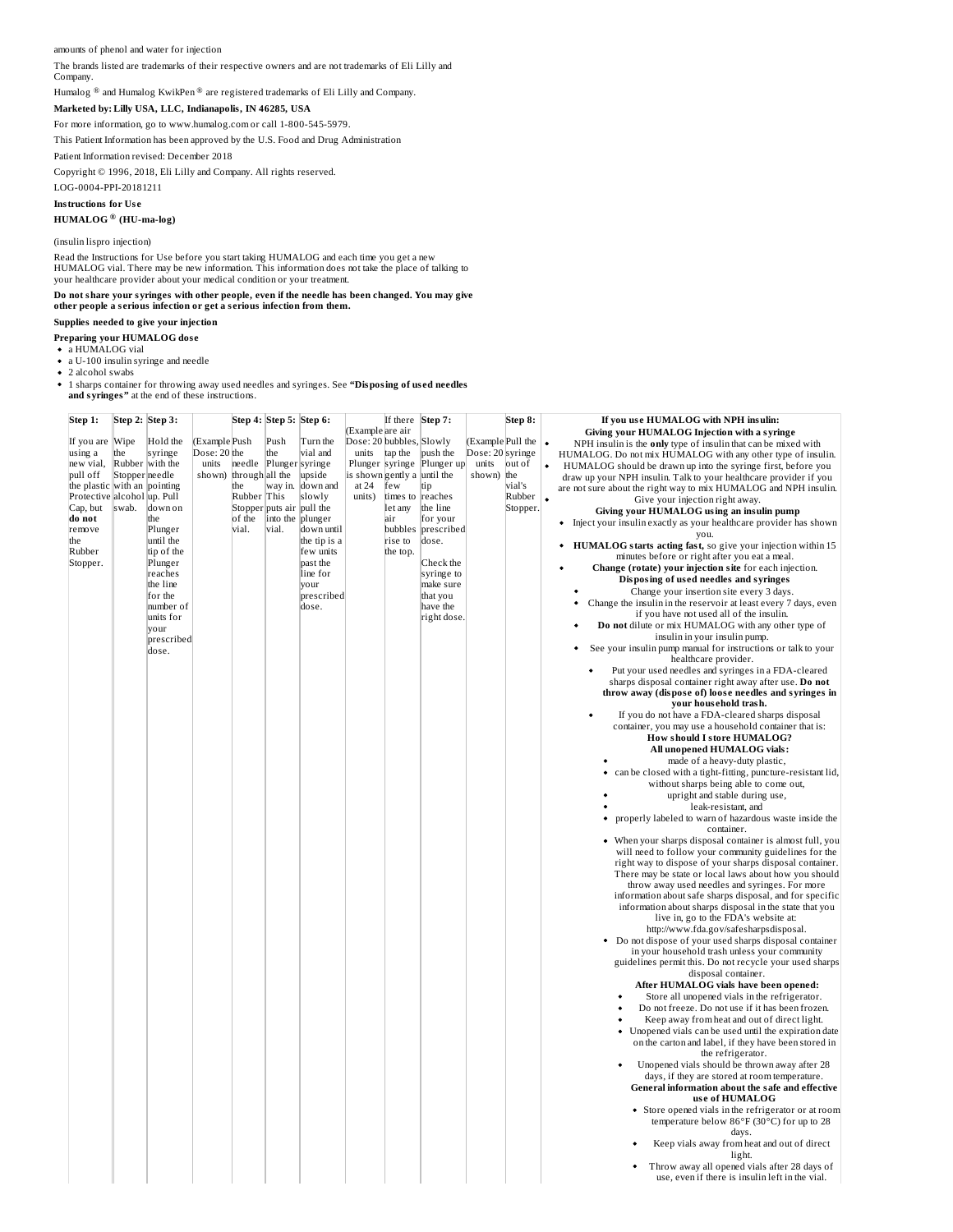amounts of phenol and water for injection

The brands listed are trademarks of their respective owners and are not trademarks of Eli Lilly and Company.

Humalog  $^{\circledR}$  and Humalog KwikPen  $^{\circledR}$  are registered trademarks of Eli Lilly and Company.

**Marketed by: Lilly USA, LLC, Indianapolis, IN 46285, USA**

For more information, go to www.humalog.com or call 1-800-545-5979.

This Patient Information has been approved by the U.S. Food and Drug Administration

Patient Information revised: December 2018

Copyright © 1996, 2018, Eli Lilly and Company. All rights reserved.

LOG-0004-PPI-20181211

**Instructions for Us e**

#### **HUMALOG (HU-ma-log) ®**

(insulin lispro injection)

Read the Instructions for Use before you start taking HUMALOG and each time you get a new HUMALOG vial. There may be new information. This information does not take the place of talking to your healthcare provider about your medical condition or your treatment.

# Do not share your syringes with other people, even if the needle has been changed. You may give<br>other people a serious infection or get a serious infection from them.

**Supplies needed to give your injection**

**Preparing your HUMALOG dos e** a HUMALOG vial

a U-100 insulin syringe and needle

2 alcohol swabs

1 sharps container for throwing away used needles and syringes. See **"Disposing of us ed needles and syringes"** at the end of these instructions.

| Step 1:                       |                | Step 2: Step 3:    |              |                 | Step 4: Step 5: Step 6:   |                      |                             | If there | Step 7:                    |                   | Step 8:  |           | If you use HUMALOG with NPH insulin:                                   |
|-------------------------------|----------------|--------------------|--------------|-----------------|---------------------------|----------------------|-----------------------------|----------|----------------------------|-------------------|----------|-----------|------------------------------------------------------------------------|
|                               |                |                    |              |                 |                           |                      | (Example are air            |          |                            |                   |          |           | Giving your HUMALOG Injection with a syringe                           |
| If you are Wipe               |                | Hold the           | Example Push |                 | Push                      | Turn the             | Dose: 20 bubbles, Slowly    |          |                            | (Example Pull the |          |           | NPH insulin is the only type of insulin that can be mixed with         |
| using a                       | the            | syringe            | Dose: 20 the |                 | the                       | vial and             | units                       | tap the  | push the                   | Dose: 20 syringe  |          |           | HUMALOG. Do not mix HUMALOG with any other type of insulin.            |
| new vial,                     |                | Rubber with the    | units        |                 | needle Plungersyringe     |                      |                             |          | Plunger syringe Plunger up | units             | out of   | $\bullet$ | HUMALOG should be drawn up into the syringe first, before you          |
| pull off                      | Stopper needle |                    | shown)       | through all the |                           | upside               | is shown gently a until the |          |                            | shown) the        |          |           | draw up your NPH insulin. Talk to your healthcare provider if you      |
| the plastic with an pointing  |                |                    |              | the             |                           | way in. down and     | at 24                       | few      | tip                        |                   | vial's   |           | are not sure about the right way to mix HUMALOG and NPH insulin.       |
| Protective  alcohol  up. Pull |                |                    |              | Rubber This     |                           | slowly               | units)                      | times to | reaches                    |                   | Rubber   | $\bullet$ | Give your injection right away.                                        |
| Cap, but                      | swab.          | down on            |              |                 | Stopper puts air pull the |                      |                             | let any  | the line                   |                   | Stopper. |           | Giving your HUMALOG using an insulin pump                              |
| do not                        |                | the                |              | of the          | into the plunger          |                      |                             | air      | for your                   |                   |          |           | Inject your insulin exactly as your healthcare provider has shown<br>٠ |
| remove                        |                | Plunger            |              | vial.           | vial.                     | down until           |                             | bubbles  | prescribed                 |                   |          |           | you.                                                                   |
| the                           |                | until the          |              |                 |                           | the tip is a         |                             | rise to  | dose.                      |                   |          |           | HUMALOG starts acting fast, so give your injection within 15           |
| Rubber                        |                | tip of the         |              |                 |                           | few units            |                             | the top. |                            |                   |          |           | minutes before or right after you eat a meal.                          |
| Stopper.                      |                | Plunger<br>reaches |              |                 |                           | past the<br>line for |                             |          | Check the                  |                   |          |           | Change (rotate) your injection site for each injection.                |
|                               |                | the line           |              |                 |                           | your                 |                             |          | syringe to<br>make sure    |                   |          |           | Disposing of used needles and syringes                                 |
|                               |                | for the            |              |                 |                           | prescribed           |                             |          | that you                   |                   |          |           | Change your insertion site every 3 days.                               |
|                               |                | number of          |              |                 |                           | dose.                |                             |          | have the                   |                   |          |           | Change the insulin in the reservoir at least every 7 days, even        |
|                               |                | units for          |              |                 |                           |                      |                             |          | right dose                 |                   |          |           | if you have not used all of the insulin.                               |
|                               |                | your               |              |                 |                           |                      |                             |          |                            |                   |          |           | Do not dilute or mix HUMALOG with any other type of                    |
|                               |                | prescribed         |              |                 |                           |                      |                             |          |                            |                   |          |           | insulin in your insulin pump.                                          |
|                               |                | dose.              |              |                 |                           |                      |                             |          |                            |                   |          |           | See your insulin pump manual for instructions or talk to your          |
|                               |                |                    |              |                 |                           |                      |                             |          |                            |                   |          |           | healthcare provider.                                                   |
|                               |                |                    |              |                 |                           |                      |                             |          |                            |                   |          |           | Put your used needles and syringes in a FDA-cleared                    |
|                               |                |                    |              |                 |                           |                      |                             |          |                            |                   |          |           | sharps disposal container right away after use. Do not                 |
|                               |                |                    |              |                 |                           |                      |                             |          |                            |                   |          |           | throw away (dispose of) loose needles and syringes in                  |
|                               |                |                    |              |                 |                           |                      |                             |          |                            |                   |          |           | your household trash.                                                  |
|                               |                |                    |              |                 |                           |                      |                             |          |                            |                   |          |           | If you do not have a FDA-cleared sharps disposal                       |
|                               |                |                    |              |                 |                           |                      |                             |          |                            |                   |          |           | container, you may use a household container that is:                  |
|                               |                |                    |              |                 |                           |                      |                             |          |                            |                   |          |           | How should I store HUMALOG?                                            |
|                               |                |                    |              |                 |                           |                      |                             |          |                            |                   |          |           | All unopened HUMALOG vials:                                            |
|                               |                |                    |              |                 |                           |                      |                             |          |                            |                   |          |           | made of a heavy-duty plastic,                                          |
|                               |                |                    |              |                 |                           |                      |                             |          |                            |                   |          |           | can be closed with a tight-fitting, puncture-resistant lid,            |
|                               |                |                    |              |                 |                           |                      |                             |          |                            |                   |          |           | without sharps being able to come out,                                 |
|                               |                |                    |              |                 |                           |                      |                             |          |                            |                   |          |           | upright and stable during use,                                         |
|                               |                |                    |              |                 |                           |                      |                             |          |                            |                   |          |           | leak-resistant, and                                                    |
|                               |                |                    |              |                 |                           |                      |                             |          |                            |                   |          |           | properly labeled to warn of hazardous waste inside the                 |
|                               |                |                    |              |                 |                           |                      |                             |          |                            |                   |          |           | container.                                                             |
|                               |                |                    |              |                 |                           |                      |                             |          |                            |                   |          |           | • When your sharps disposal container is almost full, you              |
|                               |                |                    |              |                 |                           |                      |                             |          |                            |                   |          |           | will need to follow your community guidelines for the                  |
|                               |                |                    |              |                 |                           |                      |                             |          |                            |                   |          |           | right way to dispose of your sharps disposal container.                |
|                               |                |                    |              |                 |                           |                      |                             |          |                            |                   |          |           | There may be state or local laws about how you should                  |
|                               |                |                    |              |                 |                           |                      |                             |          |                            |                   |          |           | throw away used needles and syringes. For more                         |
|                               |                |                    |              |                 |                           |                      |                             |          |                            |                   |          |           | information about safe sharps disposal, and for specific               |
|                               |                |                    |              |                 |                           |                      |                             |          |                            |                   |          |           | information about sharps disposal in the state that you                |
|                               |                |                    |              |                 |                           |                      |                             |          |                            |                   |          |           | live in, go to the FDA's website at:                                   |
|                               |                |                    |              |                 |                           |                      |                             |          |                            |                   |          |           | http://www.fda.gov/safesharpsdisposal.                                 |
|                               |                |                    |              |                 |                           |                      |                             |          |                            |                   |          |           | Do not dispose of your used sharps disposal container                  |
|                               |                |                    |              |                 |                           |                      |                             |          |                            |                   |          |           | in your household trash unless your community                          |
|                               |                |                    |              |                 |                           |                      |                             |          |                            |                   |          |           | guidelines permit this. Do not recycle your used sharps                |
|                               |                |                    |              |                 |                           |                      |                             |          |                            |                   |          |           | disposal container.                                                    |
|                               |                |                    |              |                 |                           |                      |                             |          |                            |                   |          |           | After HUMALOG vials have been opened:                                  |
|                               |                |                    |              |                 |                           |                      |                             |          |                            |                   |          |           | Store all unopened vials in the refrigerator.                          |
|                               |                |                    |              |                 |                           |                      |                             |          |                            |                   |          |           | Do not freeze. Do not use if it has been frozen.                       |
|                               |                |                    |              |                 |                           |                      |                             |          |                            |                   |          |           | Keep away from heat and out of direct light.                           |
|                               |                |                    |              |                 |                           |                      |                             |          |                            |                   |          |           | Unopened vials can be used until the expiration date<br>$\bullet$      |
|                               |                |                    |              |                 |                           |                      |                             |          |                            |                   |          |           | on the carton and label, if they have been stored in                   |
|                               |                |                    |              |                 |                           |                      |                             |          |                            |                   |          |           | the refrigerator.                                                      |
|                               |                |                    |              |                 |                           |                      |                             |          |                            |                   |          |           | Unopened vials should be thrown away after 28                          |
|                               |                |                    |              |                 |                           |                      |                             |          |                            |                   |          |           | days, if they are stored at room temperature.                          |
|                               |                |                    |              |                 |                           |                      |                             |          |                            |                   |          |           | General information about the safe and effective                       |
|                               |                |                    |              |                 |                           |                      |                             |          |                            |                   |          |           | use of HUMALOG                                                         |
|                               |                |                    |              |                 |                           |                      |                             |          |                            |                   |          |           | • Store opened vials in the refrigerator or at room                    |
|                               |                |                    |              |                 |                           |                      |                             |          |                            |                   |          |           | temperature below 86°F (30°C) for up to 28                             |
|                               |                |                    |              |                 |                           |                      |                             |          |                            |                   |          |           | days.                                                                  |
|                               |                |                    |              |                 |                           |                      |                             |          |                            |                   |          |           | Keep vials away from heat and out of direct                            |
|                               |                |                    |              |                 |                           |                      |                             |          |                            |                   |          |           | light.                                                                 |
|                               |                |                    |              |                 |                           |                      |                             |          |                            |                   |          |           | Throw away all opened vials after 28 days of                           |
|                               |                |                    |              |                 |                           |                      |                             |          |                            |                   |          |           | use, even if there is insulin left in the vial.                        |
|                               |                |                    |              |                 |                           |                      |                             |          |                            |                   |          |           |                                                                        |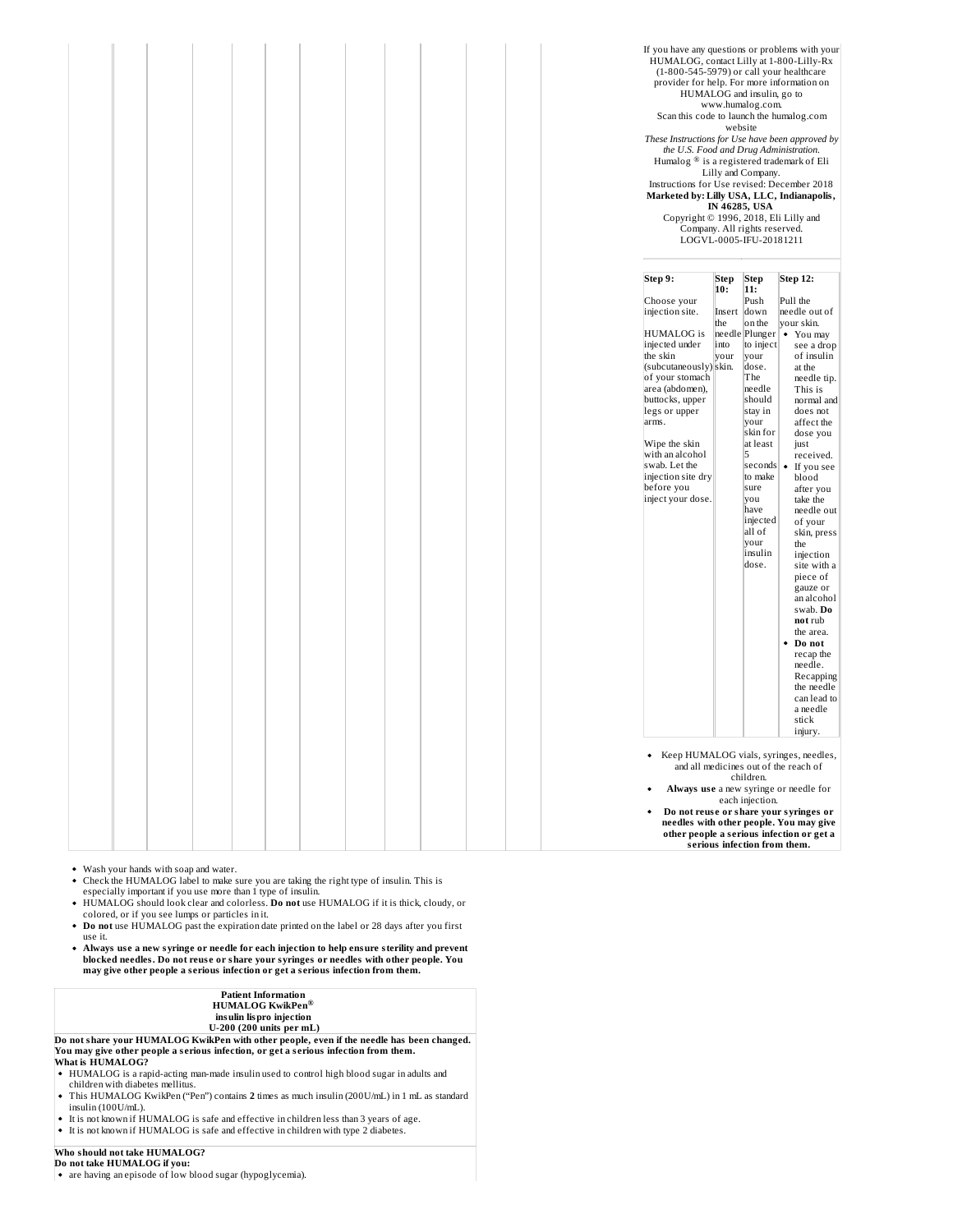|  |  |  |  |  |  | If you have any questions or problems with your<br>HUMALOG, contact Lilly at 1-800-Lilly-Rx<br>(1-800-545-5979) or call your healthcare<br>provider for help. For more information on<br>Scan this code to launch the humalog.com<br>These Instructions for Use have been approved by<br>the U.S. Food and Drug Administration.<br>Humalog <sup>®</sup> is a registered trademark of Eli<br>Instructions for Use revised: December 2018<br>Marketed by: Lilly USA, LLC, Indianapolis,<br>Copyright © 1996, 2018, Eli Lilly and | website                       | HUMALOG and insulin, go to<br>www.humalog.com.<br>Lilly and Company.<br>IN 46285, USA<br>Company. All rights reserved.<br>LOGVL-0005-IFU-20181211                                                                                             |                                                                                                                                                                                                                                                                                                                                                                                                                                                                                                                                      |
|--|--|--|--|--|--|--------------------------------------------------------------------------------------------------------------------------------------------------------------------------------------------------------------------------------------------------------------------------------------------------------------------------------------------------------------------------------------------------------------------------------------------------------------------------------------------------------------------------------|-------------------------------|-----------------------------------------------------------------------------------------------------------------------------------------------------------------------------------------------------------------------------------------------|--------------------------------------------------------------------------------------------------------------------------------------------------------------------------------------------------------------------------------------------------------------------------------------------------------------------------------------------------------------------------------------------------------------------------------------------------------------------------------------------------------------------------------------|
|  |  |  |  |  |  | Step 9:                                                                                                                                                                                                                                                                                                                                                                                                                                                                                                                        | Step<br>10:                   | Step<br>11:                                                                                                                                                                                                                                   | Step 12:                                                                                                                                                                                                                                                                                                                                                                                                                                                                                                                             |
|  |  |  |  |  |  | Choose your<br>injection site.<br><b>HUMALOG</b> is<br>injected under<br>the skin<br>(subcutaneously) skin.<br>of your stomach<br>area (abdomen),<br>buttocks, upper<br>legs or upper<br>arms.<br>Wipe the skin<br>with an alcohol<br>swab. Let the<br>injection site dry<br>before you<br>inject your dose.                                                                                                                                                                                                                   | Insert<br>the<br>into<br>your | Push<br>down<br>on the<br>to inject<br>vour<br>dose.<br>The<br>needle<br>should<br>stay in<br>your<br>skin for<br>at least<br>l5<br>$ seconds $ $\bullet$<br>to make<br>sure<br>you<br>have<br>injected<br>all of<br>your<br>insulin<br>dose. | Pull the<br>needle out of<br>your skin.<br>needle Plunger   • You may<br>see a drop<br>of insulin<br>at the<br>needle tip.<br>This is<br>normal and<br>does not<br>affect the<br>dose you<br>just<br>received.<br>If you see<br>blood<br>after you<br>take the<br>needle out<br>of your<br>skin, press<br>the<br>injection<br>site with a<br>piece of<br>gauze or<br>an alcohol<br>swab. Do<br>not rub<br>the area.<br>Do not<br>٠<br>recap the<br>needle.<br>Recapping<br>the needle<br>can lead to<br>a needle<br>stick<br>injury. |
|  |  |  |  |  |  | ٠                                                                                                                                                                                                                                                                                                                                                                                                                                                                                                                              |                               |                                                                                                                                                                                                                                               | Keep HUMALOG vials, syringes, needles,<br>and all medicines out of the reach of                                                                                                                                                                                                                                                                                                                                                                                                                                                      |
|  |  |  |  |  |  |                                                                                                                                                                                                                                                                                                                                                                                                                                                                                                                                |                               | children.<br>each injection.                                                                                                                                                                                                                  | Always use a new syringe or needle for                                                                                                                                                                                                                                                                                                                                                                                                                                                                                               |
|  |  |  |  |  |  |                                                                                                                                                                                                                                                                                                                                                                                                                                                                                                                                |                               | serious infection from them.                                                                                                                                                                                                                  | Do not reuse or share your syringes or<br>needles with other people. You may give<br>other people a serious infection or get a                                                                                                                                                                                                                                                                                                                                                                                                       |

- Wash your hands with soap and water.
- Check the HUMALOG label to make sure you are taking the right type of insulin. This is<br>especially important if you use more than 1 type of insulin.<br>HUMALOG should look clear and colorless. **Do not** use HUMALOG if it is thi
- 
- colored, or if you see lumps or particles in it. **Do not** use HUMALOG past the expiration date printed on the label or 28 days after you first use it.
- **Always us e a new syringe or needle for each injection to help ensure sterility and prevent blocked needles. Do not reus e or share your syringes or needles with other people. You may give other people a s erious infection or get a s erious infection from them.**

| <b>Patient Information</b>         |
|------------------------------------|
| <b>HUMALOG KwikPen<sup>®</sup></b> |
| insulin lispro injection           |
| $U$ 200 (200 units nor mL)         |

U-200 (200 units per mL)<br>Do not share your HUMALOG KwikPen with other people, even if the needle has been changed. **You may give other people a s erious infection, or get a s erious infection from them. What is HUMALOG?**

- HUMALOG is a rapid-acting man-made insulin used to control high blood sugar in adults and children with diabetes mellitus.
- This HUMALOG KwikPen ("Pen") contains **2** times as much insulin (200U/mL) in 1 mL as standard insulin (100U/mL).
- It is not known if HUMALOG is safe and effective in children less than 3 years of age. It is not known if HUMALOG is safe and effective in children with type 2 diabetes.

# **Who should not take HUMALOG? Do not take HUMALOG if you:**

are having an episode of low blood sugar (hypoglycemia).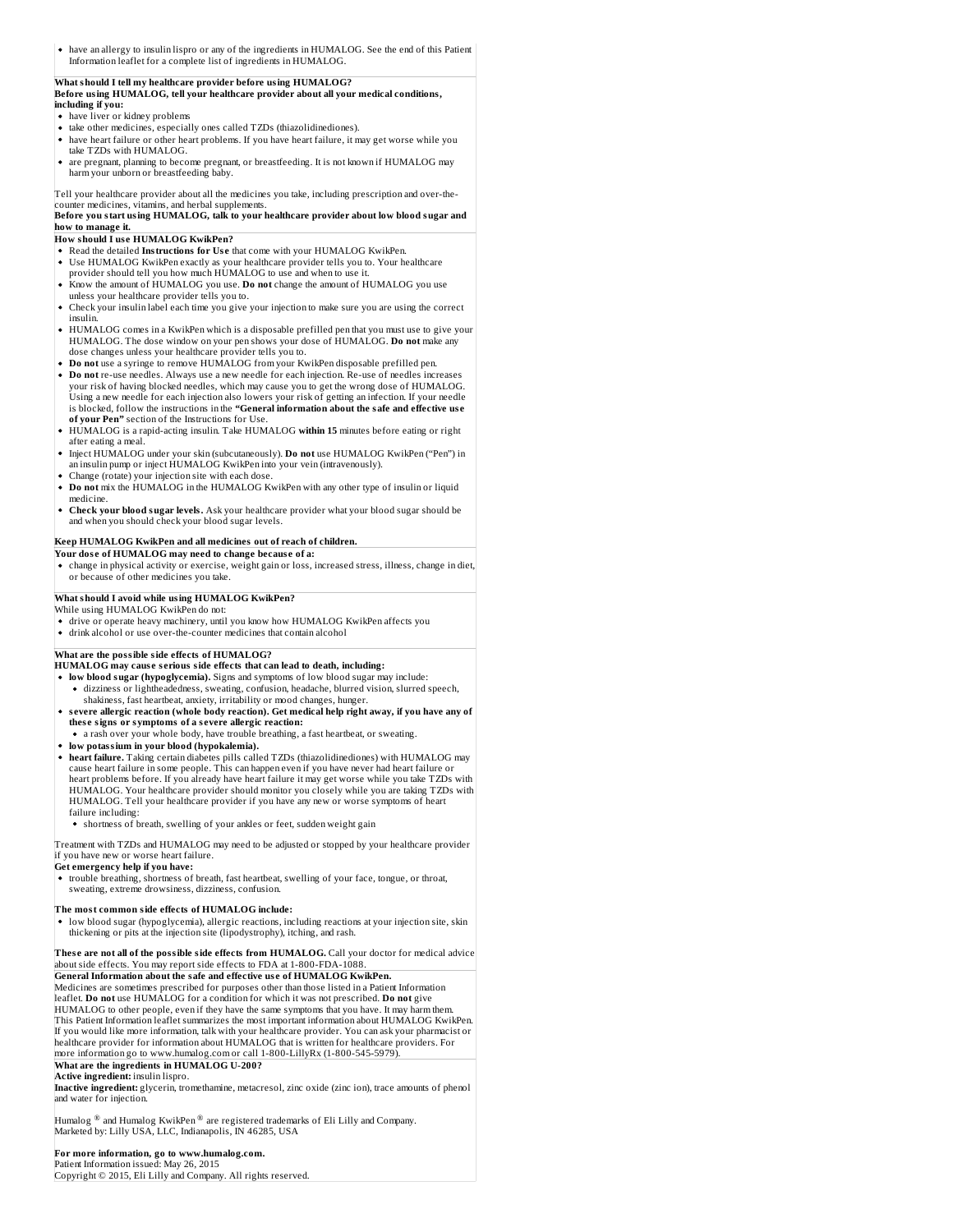have an allergy to insulin lispro or any of the ingredients in HUMALOG. See the end of this Patient Information leaflet for a complete list of ingredients in HUMALOG.

# **What should I tell my healthcare provider before using HUMALOG?**

**Before using HUMALOG, tell your healthcare provider about all your medical conditions, including if you:**

- have liver or kidney problems
- take other medicines, especially ones called TZDs (thiazolidinediones).
- have heart failure or other heart problems. If you have heart failure, it may get worse while you take TZDs with HUMALOG.
- are pregnant, planning to become pregnant, or breastfeeding. It is not known if HUMALOG may harm your unborn or breastfeeding baby.

Tell your healthcare provider about all the medicines you take, including prescription and over-thecounter medicines, vitamins, and herbal supplements.

**Before you start using HUMALOG, talk to your healthcare provider about low blood sugar and how to manage it.**

# **How should I us e HUMALOG KwikPen?**

- Read the detailed **Instructions for Us e** that come with your HUMALOG KwikPen.
- Use HUMALOG KwikPen exactly as your healthcare provider tells you to. Your healthcare provider should tell you how much HUMALOG to use and when to use it.
- Know the amount of HUMALOG you use. **Do not** change the amount of HUMALOG you use unless your healthcare provider tells you to.
- Check your insulin label each time you give your injection to make sure you are using the correct insulin.
- HUMALOG comes in a KwikPen which is a disposable prefilled pen that you must use to give your<br>HUMALOG. The dose window on your pen shows your dose of HUMALOG. **Do not** make any dose changes unless your healthcare provider tells you to.
- **Do not** use a syringe to remove HUMALOG from your KwikPen disposable prefilled pen.
- **Do not** re-use needles. Always use a new needle for each injection. Re-use of needles increases your risk of having blocked needles, which may cause you to get the wrong dose of HUMALOG. Using a new needle for each injection also lowers your risk of getting an infection. If your needle is blocked, follow the instructions in the **"General information about the safe and effective us e of your Pen"** section of the Instructions for Use.
- HUMALOG is a rapid-acting insulin. Take HUMALOG **within 15** minutes before eating or right
- after eating a meal. Inject HUMALOG under your skin (subcutaneously). **Do not** use HUMALOG KwikPen ("Pen") in an insulin pump or inject HUMALOG KwikPen into your vein (intravenously).
- Change (rotate) your injection site with each dose.
- **Do not** mix the HUMALOG in the HUMALOG KwikPen with any other type of insulin or liquid medicine.
- **Check your blood sugar levels.** Ask your healthcare provider what your blood sugar should be and when you should check your blood sugar levels.

#### **Keep HUMALOG KwikPen and all medicines out of reach of children.**

**Your dos e of HUMALOG may need to change becaus e of a:** change in physical activity or exercise, weight gain or loss, increased stress, illness, change in diet, or because of other medicines you take.

#### **What should I avoid while using HUMALOG KwikPen?**

- While using HUMALOG KwikPen do not:
- drive or operate heavy machinery, until you know how HUMALOG KwikPen affects you
- drink alcohol or use over-the-counter medicines that contain alcohol

## **What are the possible side effects of HUMALOG?**

- **HUMALOG may caus e s erious side effects that can lead to death, including:**
- **low blood sugar (hypoglycemia).** Signs and symptoms of low blood sugar may include: dizziness or lightheadedness, sweating, confusion, headache, blurred vision, slurred speech,
- shakiness, fast heartbeat, anxiety, irritability or mood changes, hunger. **s evere allergic reaction (whole body reaction). Get medical help right away, if you have any of thes e signs or symptoms of a s evere allergic reaction:**
- a rash over your whole body, have trouble breathing, a fast heartbeat, or sweating.
- **low potassium in your blood (hypokalemia).**
- **heart failure.** Taking certain diabetes pills called TZDs (thiazolidinediones) with HUMALOG may cause heart failure in some people. This can happen even if you have never had heart failure or heart problems before. If you already have heart failure it may get worse while you take TZDs with HUMALOG. Your healthcare provider should monitor you closely while you are taking TZDs with HUMALOG. Tell your healthcare provider if you have any new or worse symptoms of heart failure including:
	- shortness of breath, swelling of your ankles or feet, sudden weight gain

Treatment with TZDs and HUMALOG may need to be adjusted or stopped by your healthcare provider f you have new or worse heart failure.

#### **Get emergency help if you have:**

trouble breathing, shortness of breath, fast heartbeat, swelling of your face, tongue, or throat, sweating, extreme drowsiness, dizziness, confusion.

#### **The most common side effects of HUMALOG include:**

low blood sugar (hypoglycemia), allergic reactions, including reactions at your injection site, skin thickening or pits at the injection site (lipodystrophy), itching, and rash.

#### **Thes e are not all of the possible side effects from HUMALOG.** Call your doctor for medical advice about side effects. You may report side effects to FDA at 1-800-FDA-1088.

**General Information about the safe and effective us e of HUMALOG KwikPen.** Medicines are sometimes prescribed for purposes other than those listed in a Patient Information leaflet. **Do not** use HUMALOG for a condition for which it was not prescribed. **Do not** give HUMALOG to other people, even if they have the same symptoms that you have. It may harm them. This Patient Information leaflet summarizes the most important information about HUMALOG KwikPen. If you would like more information, talk with your healthcare provider. You can ask your pharmacist or ealthcare provider for information about HUMALOG that is written for healthcare providers. For more information go to www.humalog.com or call 1-800-LillyRx (1-800-545-5979). **What are the ingredients in HUMALOG U-200?**

#### **Active ingredient:** insulin lispro.

**Inactive ingredient:** glycerin, tromethamine, metacresol, zinc oxide (zinc ion), trace amounts of phenol and water for injection.

Humalog  $^{\circledR}$  and Humalog KwikPen  $^{\circledR}$  are registered trademarks of Eli Lilly and Company. Marketed by: Lilly USA, LLC, Indianapolis, IN 46285, USA

# **For more information, go to www.humalog.com.**

Patient Information issued: May 26, 2015<br>Copyright © 2015, Eli Lilly and Company. All rights reserved.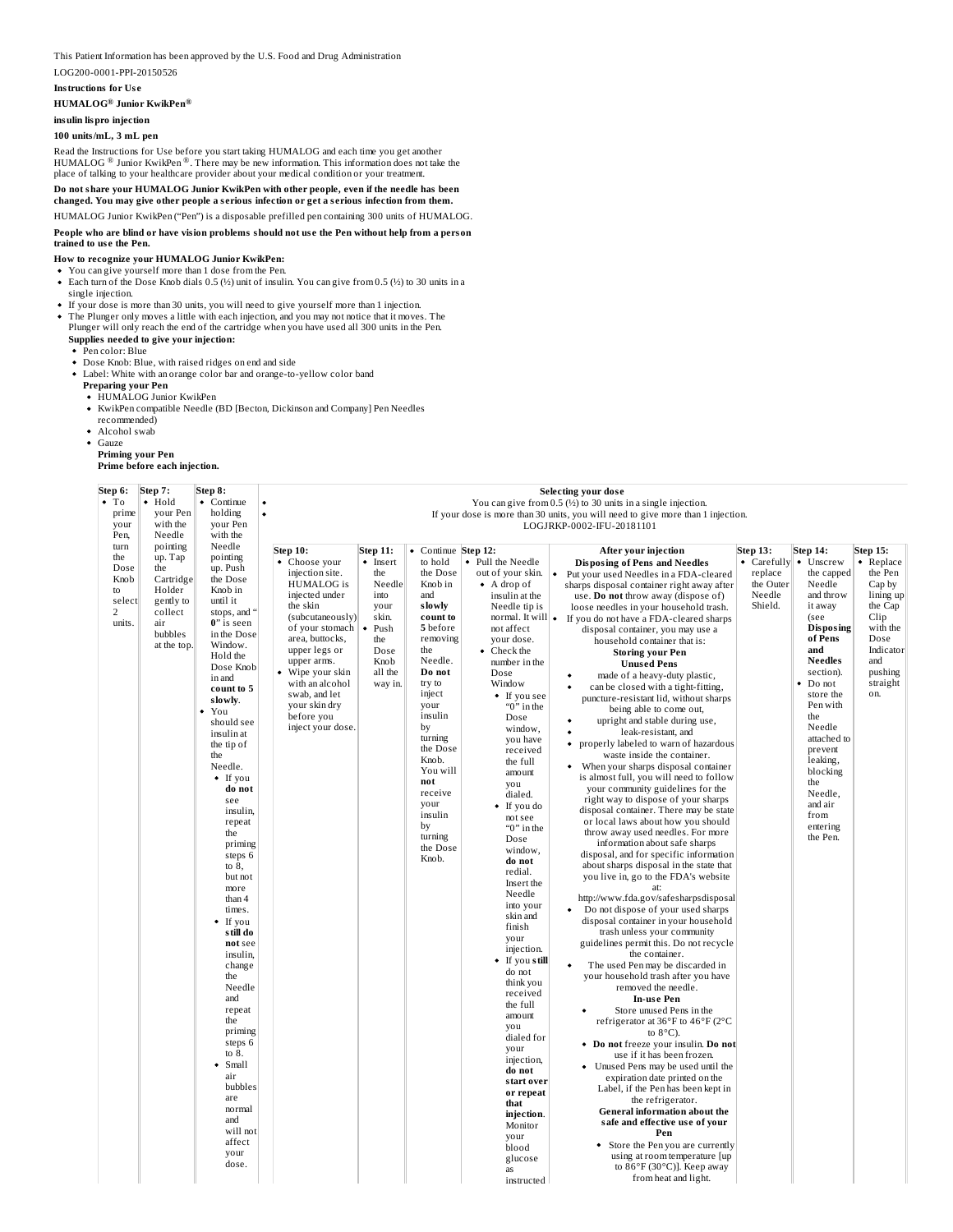#### This Patient Information has been approved by the U.S. Food and Drug Administration

#### LOG200-0001-PPI-20150526

#### **Instructions for Us e**

### **HUMALOG Junior KwikPen ® ®**

# **insulin lispro injection**

# **100 units/mL, 3 mL pen**

Read the Instructions for Use before you start taking HUMALOG and each time you get another<br>HUMALOG ® Junior KwikPen ®. There may be new information. This information does not take the place of talking to your healthcare provider about your medical condition or your treatment.

#### **Do not share your HUMALOG Junior KwikPen with other people, even if the needle has been changed. You may give other people a s erious infection or get a s erious infection from them.**

HUMALOG Junior KwikPen ("Pen") is a disposable prefilled pen containing 300 units of HUMALOG.

# People who are blind or have vision problems should not use the Pen without help from a person<br>trained to use the Pen.

# **How to recognize your HUMALOG Junior KwikPen:**

- You can give yourself more than 1 dose from the Pen.
- Each turn of the Dose Knob dials 0.5 (½) unit of insulin. You can give from 0.5 (½) to 30 units in a single injection.
- If your dose is more than 30 units, you will need to give yourself more than 1 injection. • The Plunger only moves a little with each injection, and you may not notice that it moves. The
- Plunger will only reach the end of the cartridge when you have used all 300 units in the Pen. **Supplies needed to give your injection:**

#### Pen color: Blue

- Dose Knob: Blue, with raised ridges on end and side
- Label: White with an orange color bar and orange-to-yellow color band

# **Preparing your Pen**

- HUMALOG Junior KwikPen
- KwikPen compatible Needle (BD [Becton, Dickinson and Company] Pen Needles
- recommended)
- Alcohol swab
- Gauze

# **Priming your Pen Prime before each injection.**

| Step 6:                  | Step 7:              | Step 8:                  |                                    |                                                                              |                      |                                          | <b>Selecting your dose</b>                                                                                                  |  |  |  |
|--------------------------|----------------------|--------------------------|------------------------------------|------------------------------------------------------------------------------|----------------------|------------------------------------------|-----------------------------------------------------------------------------------------------------------------------------|--|--|--|
| $\bullet$ To             | $\bullet$ Hold       | • Continue               | $\bullet$                          | You can give from $0.5$ ( $\frac{1}{2}$ ) to 30 units in a single injection. |                      |                                          |                                                                                                                             |  |  |  |
| prime                    | vour Pen             | holding                  | $\bullet$                          |                                                                              |                      |                                          | If your dose is more than 30 units, you will need to give more than 1 injection.                                            |  |  |  |
| your                     | with the             | vour Pen                 |                                    |                                                                              |                      |                                          | LOGJRKP-0002-IFU-20181101                                                                                                   |  |  |  |
| Pen,<br>turn             | Needle<br>pointing   | with the<br>Needle       |                                    |                                                                              |                      |                                          |                                                                                                                             |  |  |  |
| the                      | up. Tap              | pointing                 | <b>Step 10:</b>                    | <b>Step 11:</b>                                                              | • Continue           | Step 12:                                 | <b>Step 13:</b><br><b>Step 14:</b><br><b>Step 15:</b><br>After your injection                                               |  |  |  |
| Dose                     | the                  | up. Push                 | • Choose your<br>injection site.   | $\bullet$ Insert<br>the                                                      | to hold<br>the Dose  | • Pull the Needle                        | • Carefully • Unscrew<br>• Replace<br><b>Disposing of Pens and Needles</b><br>the Pen<br>$\bullet$<br>replace<br>the capped |  |  |  |
| Knob                     | Cartridge            | the Dose                 | <b>HUMALOG</b> is                  | Needle                                                                       | Knob in              | out of your skin.<br>$\bullet$ A drop of | Put your used Needles in a FDA-cleared<br>the Outer<br>Needle<br>Cap by<br>sharps disposal container right away after       |  |  |  |
| to                       | Holder               | Knob in                  | injected under                     | into                                                                         | and                  | insulin at the                           | and throw<br>Needle<br>lining up<br>use. Do not throw away (dispose of)                                                     |  |  |  |
| select<br>$\overline{2}$ | gently to<br>collect | until it<br>stops, and   | the skin                           | your                                                                         | slowly               | Needle tip is                            | Shield.<br>it away<br>the Cap<br>loose needles in your household trash.                                                     |  |  |  |
| units.                   | air                  | 0" is seen               | (subcutaneously)                   | skin.                                                                        | count to             | normal. It will                          | Clip<br>(see<br>$\bullet$<br>If you do not have a FDA-cleared sharps                                                        |  |  |  |
|                          | bubbles              | in the Dose              | of your stomach<br>area, buttocks, | Push<br>the                                                                  | 5 before<br>removing | not affect<br>your dose.                 | <b>Disposing</b><br>with the<br>disposal container, you may use a<br>of Pens<br>Dose                                        |  |  |  |
|                          | at the top.          | Window.                  | upper legs or                      | Dose                                                                         | the                  | $\bullet$ Check the                      | household container that is:<br>and<br>Indicator<br><b>Storing your Pen</b>                                                 |  |  |  |
|                          |                      | Hold the                 | upper arms.                        | Knob                                                                         | Needle.              | number in the                            | <b>Needles</b><br>and<br><b>Unused Pens</b>                                                                                 |  |  |  |
|                          |                      | Dose Knob<br>in and      | Wipe your skin                     | all the                                                                      | Do not               | Dose                                     | section).<br>pushing<br>made of a heavy-duty plastic,                                                                       |  |  |  |
|                          |                      | count to 5               | with an alcohol                    | way in.                                                                      | try to               | Window                                   | Do not<br>straight<br>can be closed with a tight-fitting,                                                                   |  |  |  |
|                          |                      | slowly.                  | swab, and let<br>vour skin dry     |                                                                              | inject<br>your       | • If you see                             | store the<br>on.<br>puncture-resistant lid, without sharps<br>Pen with                                                      |  |  |  |
|                          |                      | You                      | before you                         |                                                                              | insulin              | " $0$ " in the<br>Dose                   | being able to come out,<br>the                                                                                              |  |  |  |
|                          |                      | should see               | inject your dose.                  |                                                                              | by                   | window,                                  | upright and stable during use,<br>Needle<br>leak-resistant, and                                                             |  |  |  |
|                          |                      | insulin at<br>the tip of |                                    |                                                                              | turning              | you have                                 | attached to<br>properly labeled to warn of hazardous                                                                        |  |  |  |
|                          |                      | the                      |                                    |                                                                              | the Dose             | received                                 | prevent<br>waste inside the container.                                                                                      |  |  |  |
|                          |                      | Needle.                  |                                    |                                                                              | Knob.<br>You will    | the full                                 | leaking,<br>When your sharps disposal container<br>blocking                                                                 |  |  |  |
|                          |                      | • If you                 |                                    |                                                                              | not                  | amount<br>you                            | is almost full, you will need to follow<br>the                                                                              |  |  |  |
|                          |                      | do not                   |                                    |                                                                              | receive              | dialed.                                  | your community guidelines for the<br>Needle,                                                                                |  |  |  |
|                          |                      | see<br>insulin.          |                                    |                                                                              | your                 | • If you do                              | right way to dispose of your sharps<br>and air<br>disposal container. There may be state                                    |  |  |  |
|                          |                      | repeat                   |                                    |                                                                              | insulin              | not see                                  | from<br>or local laws about how you should                                                                                  |  |  |  |
|                          |                      | the                      |                                    |                                                                              | by<br>turning        | " $0$ " in the<br>Dose                   | entering<br>throw away used needles. For more<br>the Pen.                                                                   |  |  |  |
|                          |                      | priming                  |                                    |                                                                              | the Dose             | window,                                  | information about safe sharps                                                                                               |  |  |  |
|                          |                      | steps 6                  |                                    |                                                                              | Knob.                | do not                                   | disposal, and for specific information<br>about sharps disposal in the state that                                           |  |  |  |
|                          |                      | to $8,$<br>but not       |                                    |                                                                              |                      | redial.                                  | you live in, go to the FDA's website                                                                                        |  |  |  |
|                          |                      | more                     |                                    |                                                                              |                      | Insert the                               | at <sup>-</sup>                                                                                                             |  |  |  |
|                          |                      | than 4                   |                                    |                                                                              |                      | Needle<br>into your                      | http://www.fda.gov/safesharpsdisposal                                                                                       |  |  |  |
|                          |                      | times.                   |                                    |                                                                              |                      | skin and                                 | Do not dispose of your used sharps                                                                                          |  |  |  |
|                          |                      | If you<br>s till do      |                                    |                                                                              |                      | finish                                   | disposal container in your household<br>trash unless your community                                                         |  |  |  |
|                          |                      | not see                  |                                    |                                                                              |                      | your                                     | guidelines permit this. Do not recycle                                                                                      |  |  |  |
|                          |                      | insulin,                 |                                    |                                                                              |                      | injection.                               | the container.                                                                                                              |  |  |  |
|                          |                      | change                   |                                    |                                                                              |                      | • If you still<br>do not                 | The used Pen may be discarded in                                                                                            |  |  |  |
|                          |                      | the                      |                                    |                                                                              |                      | think you                                | your household trash after you have<br>removed the needle.                                                                  |  |  |  |
|                          |                      | Needle<br>and            |                                    |                                                                              |                      | received                                 | In-use Pen                                                                                                                  |  |  |  |
|                          |                      | repeat                   |                                    |                                                                              |                      | the full                                 | Store unused Pens in the                                                                                                    |  |  |  |
|                          |                      | the                      |                                    |                                                                              |                      | amount<br>you                            | refrigerator at 36°F to 46°F (2°C                                                                                           |  |  |  |
|                          |                      | priming                  |                                    |                                                                              |                      | dialed for                               | to $8^{\circ}$ C).                                                                                                          |  |  |  |
|                          |                      | steps 6<br>to 8.         |                                    |                                                                              |                      | your                                     | • Do not freeze your insulin. Do not                                                                                        |  |  |  |
|                          |                      | Small<br>٠               |                                    |                                                                              |                      | injection,                               | use if it has been frozen.<br>• Unused Pens may be used until the                                                           |  |  |  |
|                          |                      | air                      |                                    |                                                                              |                      | do not                                   | expiration date printed on the                                                                                              |  |  |  |
|                          |                      | bubbles                  |                                    |                                                                              |                      | start over<br>or repeat                  | Label, if the Pen has been kept in                                                                                          |  |  |  |
|                          |                      | are                      |                                    |                                                                              |                      | that                                     | the refrigerator.                                                                                                           |  |  |  |
|                          |                      | normal<br>and            |                                    |                                                                              |                      | injection.                               | General information about the<br>safe and effective use of your                                                             |  |  |  |
|                          |                      | will not                 |                                    |                                                                              |                      | Monitor                                  | Pen                                                                                                                         |  |  |  |
|                          |                      | affect                   |                                    |                                                                              |                      | your<br>blood                            | Store the Pen you are currently                                                                                             |  |  |  |
|                          |                      | your                     |                                    |                                                                              |                      | glucose                                  | using at room temperature [up                                                                                               |  |  |  |
|                          |                      | dose.                    |                                    |                                                                              |                      | as                                       | to $86^{\circ}$ F (30 $^{\circ}$ C)]. Keep away                                                                             |  |  |  |
|                          |                      |                          |                                    |                                                                              |                      | instructed                               | from heat and light.                                                                                                        |  |  |  |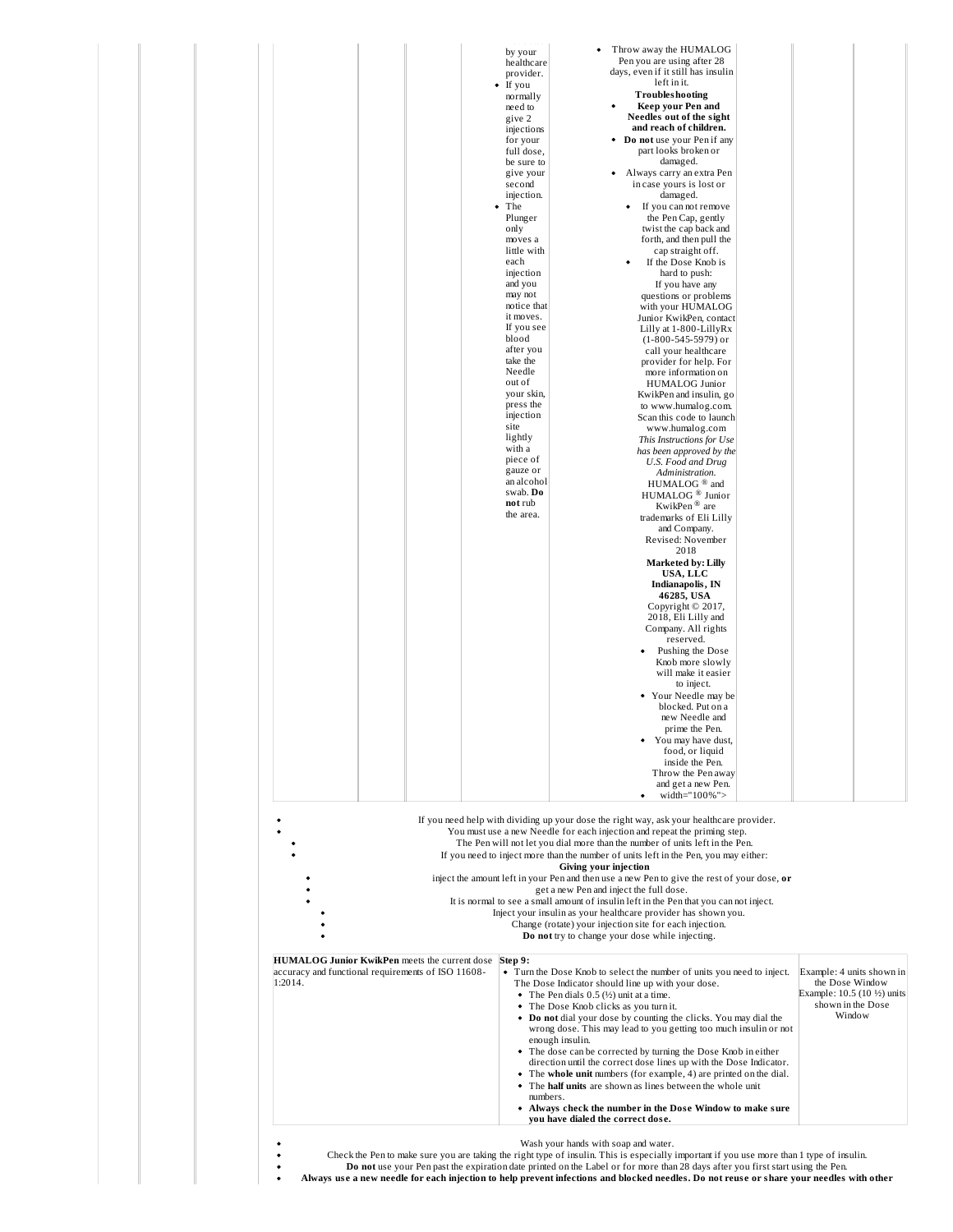|                                                                                                                | <br>by your<br>healthcare<br>provider.<br>$\bullet$ If you<br>normally<br>need to<br>give 2<br>injections<br>for your<br>full dose,<br>be sure to<br>give your<br>second<br>injection.<br>$\bullet$ The<br>Plunger<br>only<br>moves a<br>little with<br>each<br>injection<br>and you<br>may not<br>notice that<br>it moves.<br>If you see<br>blood<br>after you<br>take the<br>Needle<br>out of<br>your skin<br>press the<br>injection<br>site<br>lightly<br>with a<br>piece of<br>gauze or<br>an alcoho<br>swab. Do<br>not rub<br>the area. | Throw away the HUMALOG<br>$\bullet$<br>Pen you are using after 28<br>days, even if it still has insulin<br>left in it.<br><b>Troubleshooting</b><br>Keep your Pen and<br>$\bullet$<br>Needles out of the sight<br>and reach of children.<br>• Do not use your Pen if any<br>part looks broken or<br>damaged.<br>• Always carry an extra Pen<br>in case yours is lost or<br>damaged.<br>If you can not remove<br>the Pen Cap, gently<br>twist the cap back and<br>forth, and then pull the<br>cap straight off.<br>If the Dose Knob is<br>hard to push:<br>If you have any<br>questions or problems<br>with your HUMALOG<br>Junior KwikPen, contact<br>Lilly at 1-800-LillyRx<br>$(1-800-545-5979)$ or<br>call your healthcare<br>provider for help. For<br>more information on<br>HUMALOG Junior<br>KwikPen and insulin, go<br>to www.humalog.com.<br>Scan this code to launch<br>www.humalog.com<br>This Instructions for Use<br>has been approved by the<br>U.S. Food and Drug<br>Administration.<br>HUMALOG <sup>®</sup> and<br>HUMALOG <sup>®</sup> Junior<br>KwikPen <sup>®</sup> are<br>trademarks of Eli Lilly<br>and Company.<br>Revised: November<br>2018<br><b>Marketed by: Lilly</b><br>USA, LLC<br>Indianapolis, IN<br>46285, USA<br>Copyright © 2017,<br>2018, Eli Lilly and<br>Company. All rights<br>reserved.<br>Pushing the Dose<br>Knob more slowly<br>will make it easier<br>to inject.<br>• Your Needle may be<br>blocked. Put on a<br>new Needle and<br>prime the Pen.<br>$\bullet$<br>You may have dust,<br>food, or liquid<br>inside the Pen.<br>Throw the Pen away<br>and get a new Pen. |                                                                                                           |
|----------------------------------------------------------------------------------------------------------------|----------------------------------------------------------------------------------------------------------------------------------------------------------------------------------------------------------------------------------------------------------------------------------------------------------------------------------------------------------------------------------------------------------------------------------------------------------------------------------------------------------------------------------------------|------------------------------------------------------------------------------------------------------------------------------------------------------------------------------------------------------------------------------------------------------------------------------------------------------------------------------------------------------------------------------------------------------------------------------------------------------------------------------------------------------------------------------------------------------------------------------------------------------------------------------------------------------------------------------------------------------------------------------------------------------------------------------------------------------------------------------------------------------------------------------------------------------------------------------------------------------------------------------------------------------------------------------------------------------------------------------------------------------------------------------------------------------------------------------------------------------------------------------------------------------------------------------------------------------------------------------------------------------------------------------------------------------------------------------------------------------------------------------------------------------------------------------------------------------------------------------------------------------------------|-----------------------------------------------------------------------------------------------------------|
| HUMALOG Junior KwikPen meets the current dose<br>accuracy and functional requirements of ISO 11608-<br>1:2014. | Step 9:                                                                                                                                                                                                                                                                                                                                                                                                                                                                                                                                      | width="100%"><br>٠<br>If you need help with dividing up your dose the right way, ask your healthcare provider.<br>You must use a new Needle for each injection and repeat the priming step.<br>The Pen will not let you dial more than the number of units left in the Pen.<br>If you need to inject more than the number of units left in the Pen, you may either:<br>Giving your injection<br>inject the amount left in your Pen and then use a new Pen to give the rest of your dose, or<br>get a new Pen and inject the full dose.<br>It is normal to see a small amount of insulin left in the Pen that you can not inject.<br>Inject your insulin as your healthcare provider has shown you.<br>Change (rotate) your injection site for each injection.<br>Do not try to change your dose while injecting.<br>• Turn the Dose Knob to select the number of units you need to inject.<br>The Dose Indicator should line up with your dose.<br>• The Pen dials $0.5$ ( $\frac{1}{2}$ ) unit at a time.<br>• The Dose Knob clicks as you turn it.<br>• Do not dial your dose by counting the clicks. You may dial the<br>wrong dose. This may lead to you getting too much insulin or not<br>enough insulin.<br>• The dose can be corrected by turning the Dose Knob in either<br>direction until the correct dose lines up with the Dose Indicator.                                                                                                                                                                                                                                                          | Example: 4 units shown in<br>the Dose Window<br>Example: 10.5 (10 ½) units<br>shown in the Dose<br>Window |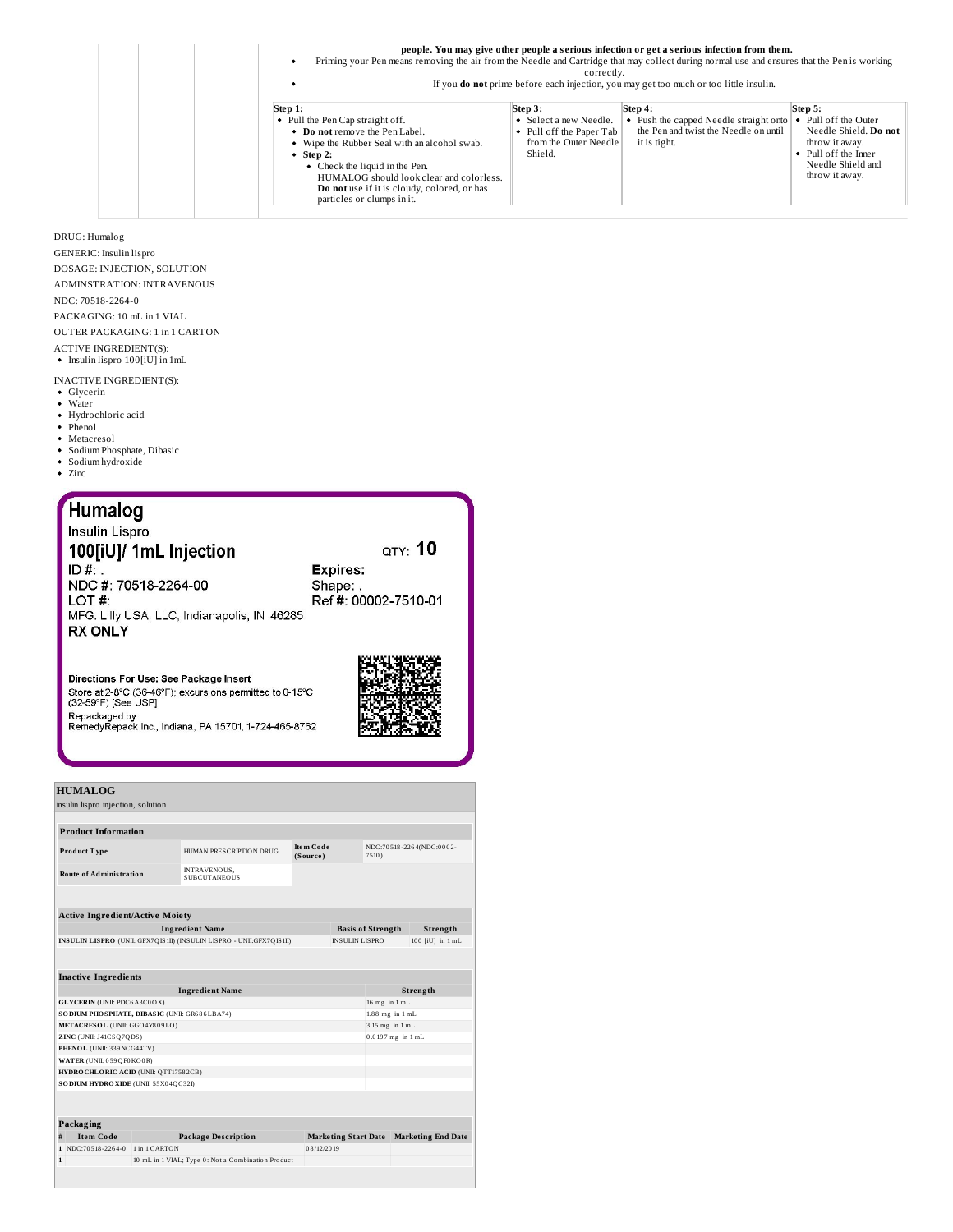| Priming your Pen means removing the air from the Needle and Cartridge that may collect during normal use and ensures that the Pen is working                                                                                                                                                          | correctly.                                                                                        | people. You may give other people a serious infection or get a serious infection from them.<br>If you <b>do not</b> prime before each injection, you may get too much or too little insulin. |                                                                                                                                       |
|-------------------------------------------------------------------------------------------------------------------------------------------------------------------------------------------------------------------------------------------------------------------------------------------------------|---------------------------------------------------------------------------------------------------|----------------------------------------------------------------------------------------------------------------------------------------------------------------------------------------------|---------------------------------------------------------------------------------------------------------------------------------------|
| Step 1:<br>• Pull the Pen Cap straight off.<br>• Do not remove the Pen Label.<br>• Wipe the Rubber Seal with an alcohol swab.<br>• Step 2:<br>• Check the liquid in the Pen.<br>HUMALOG should look clear and colorless.<br>Do not use if it is cloudy, colored, or has<br>particles or clumps in it. | Step 3:<br>• Select a new Needle.<br>• Pull off the Paper Tab<br>from the Outer Needle<br>Shield. | Step 4:<br>• Push the capped Needle straight onto<br>the Pen and twist the Needle on until<br>it is tight.                                                                                   | Step 5:<br>Pull off the Outer<br>Needle Shield. Do not<br>throw it away.<br>Pull off the Inner<br>Needle Shield and<br>throw it away. |

DRUG: Humalog GENERIC: Insulin lispro DOSAGE: INJECTION, SOLUTION ADMINSTRATION: INTRAVENOUS NDC: 70518-2264-0 PACKAGING: 10 mL in 1 VIAL OUTER PACKAGING: 1 in 1 CARTON ACTIVE INGREDIENT(S): Insulin lispro 100[iU] in 1mL

- INACTIVE INGREDIENT(S):
- Glycerin<br>Water
- Hydrochloric acid
- Phenol
- Metacresol
- $\bullet~$  Sodium Phosphate, Dibasic
- Sodium hydroxide Zinc
- 

| <b>Humalog</b>                              |                      |
|---------------------------------------------|----------------------|
| Insulin Lispro                              |                      |
| 100[iU]/ 1mL Injection                      | QTY: 10              |
| $ID#$ .                                     | <b>Expires:</b>      |
| NDC #: 70518-2264-00                        | Shape:               |
| LOT #:                                      | Ref #: 00002-7510-01 |
| MFG: Lilly USA, LLC, Indianapolis, IN 46285 |                      |
| <b>RX ONLY</b>                              |                      |
|                                             | WARE.                |

Directions For Use: See Package Insert<br>Store at 2-8°C (36-46°F); excursions permitted to 0-15°C<br>(32-59°F) [See USP] Repackaged by:<br>Repackaged by:<br>RemedyRepack Inc., Indiana, PA 15701, 1-724-465-8762



|             | <b>HUMALOG</b>                                 |               |                                                                       |                              |                             |                          |                           |
|-------------|------------------------------------------------|---------------|-----------------------------------------------------------------------|------------------------------|-----------------------------|--------------------------|---------------------------|
|             | insulin lispro injection, solution             |               |                                                                       |                              |                             |                          |                           |
|             |                                                |               |                                                                       |                              |                             |                          |                           |
|             | <b>Product Information</b>                     |               |                                                                       |                              |                             |                          |                           |
|             | <b>Product Type</b>                            |               | HUMAN PRESCRIPTION DRUG                                               | <b>Item Code</b><br>(Source) |                             | 7510)                    | NDC:70518-2264(NDC:0002-  |
|             | <b>Route of Administration</b>                 |               | <b>INTRAVENOUS,</b><br><b>SUBCUTANEOUS</b>                            |                              |                             |                          |                           |
|             |                                                |               |                                                                       |                              |                             |                          |                           |
|             | <b>Active Ingredient/Active Moiety</b>         |               |                                                                       |                              |                             |                          |                           |
|             |                                                |               | <b>Ingredient Name</b>                                                |                              |                             | <b>Basis of Strength</b> | Strength                  |
|             |                                                |               | INSULIN LISPRO (UNII: GFX7QIS1II) (INSULIN LISPRO - UNII: GFX7QIS1II) |                              | <b>INSULIN LISPRO</b>       |                          | 100 fiUl in 1 mL          |
|             | <b>Inactive Ingredients</b>                    |               |                                                                       |                              |                             |                          |                           |
|             |                                                |               | <b>Ingredient Name</b>                                                |                              |                             |                          | Strength                  |
|             | <b>GLYCERIN</b> (UNII: PDC6A3C0OX)             |               |                                                                       |                              |                             | 16 mg in 1 mL            |                           |
|             | SO DIUM PHO SPHATE, DIBASIC (UNII: GR686LBA74) |               |                                                                       |                              |                             | $1.88$ mg in $1$ mL      |                           |
|             | METACRESOL (UNII: GGO4Y809LO)                  |               |                                                                       |                              |                             | 3.15 mg in 1 mL          |                           |
|             | ZINC (UNII: J41CSQ7QDS)                        |               |                                                                       |                              |                             | 0.0197 mg in 1 mL        |                           |
|             | PHENOL (UNII: 339 NCG44TV)                     |               |                                                                       |                              |                             |                          |                           |
|             | WATER (UNII: 059 QF0 KO0 R)                    |               |                                                                       |                              |                             |                          |                           |
|             | HYDROCHLORIC ACID (UNII: QTT17582CB)           |               |                                                                       |                              |                             |                          |                           |
|             | SO DIUM HYDRO XIDE (UNII: 55X04QC32I)          |               |                                                                       |                              |                             |                          |                           |
|             |                                                |               |                                                                       |                              |                             |                          |                           |
|             | Packaging                                      |               |                                                                       |                              |                             |                          |                           |
| #           | <b>Item Code</b>                               |               | <b>Package Description</b>                                            |                              | <b>Marketing Start Date</b> |                          | <b>Marketing End Date</b> |
|             | 1 NDC:70518-2264-0                             | 1 in 1 CARTON |                                                                       | 08/12/2019                   |                             |                          |                           |
| $\mathbf 1$ |                                                |               | 10 mL in 1 VIAL; Type 0: Not a Combination Product                    |                              |                             |                          |                           |
|             |                                                |               |                                                                       |                              |                             |                          |                           |
|             |                                                |               |                                                                       |                              |                             |                          |                           |